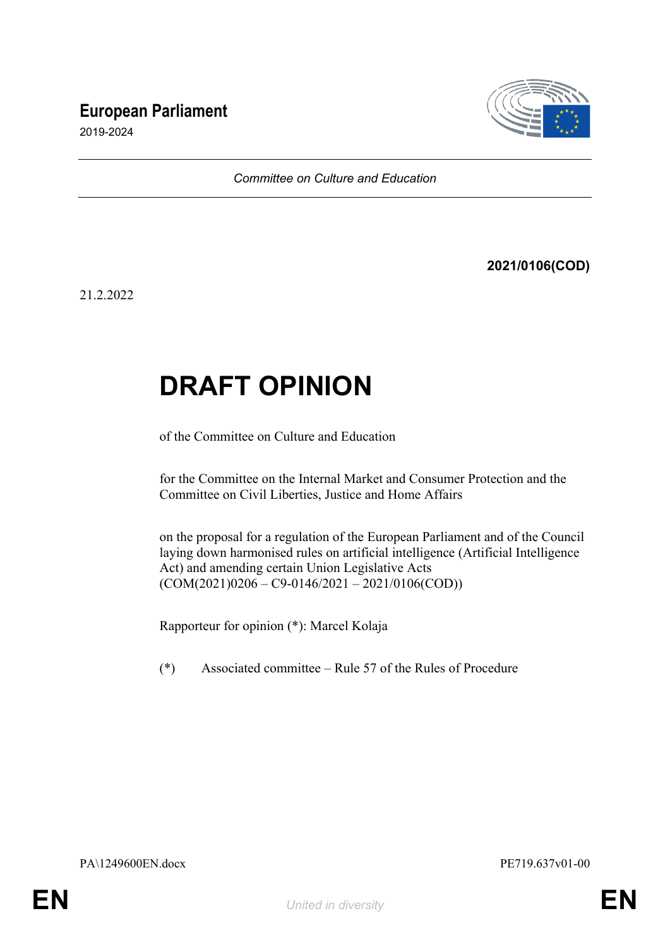## **European Parliament**



2019-2024

*Committee on Culture and Education*

**2021/0106(COD)**

21.2.2022

# **DRAFT OPINION**

of the Committee on Culture and Education

for the Committee on the Internal Market and Consumer Protection and the Committee on Civil Liberties, Justice and Home Affairs

on the proposal for a regulation of the European Parliament and of the Council laying down harmonised rules on artificial intelligence (Artificial Intelligence Act) and amending certain Union Legislative Acts  $(COM(2021)0206 - C9 - 0146/2021 - 2021/0106(COD))$ 

Rapporteur for opinion (\*): Marcel Kolaja

(\*) Associated committee – Rule 57 of the Rules of Procedure

PA\1249600EN.docx PE719.637v01-00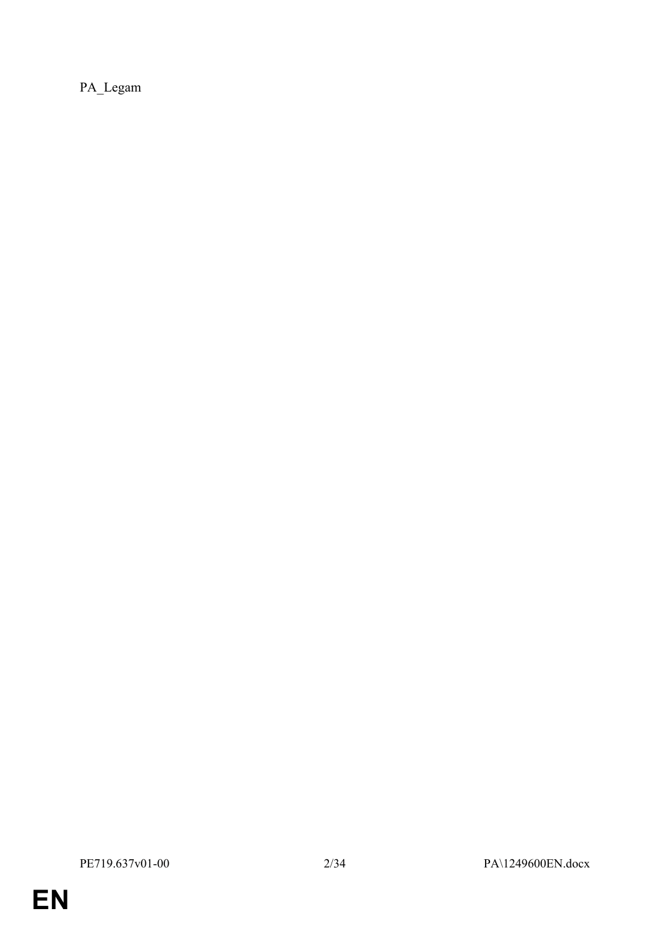PA\_Legam

**EN**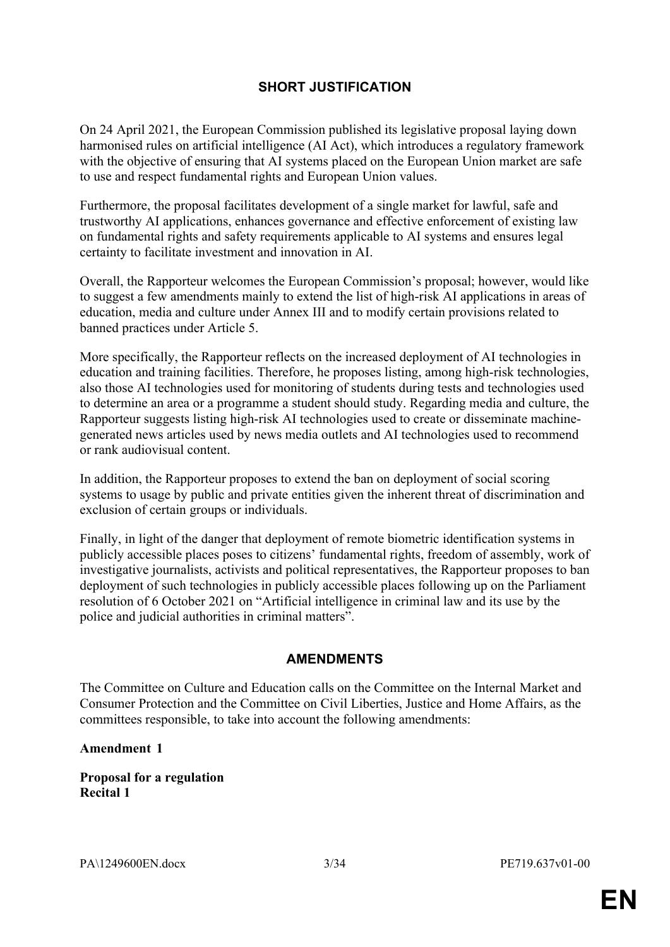### **SHORT JUSTIFICATION**

On 24 April 2021, the European Commission published its legislative proposal laying down harmonised rules on artificial intelligence (AI Act), which introduces a regulatory framework with the objective of ensuring that AI systems placed on the European Union market are safe to use and respect fundamental rights and European Union values.

Furthermore, the proposal facilitates development of a single market for lawful, safe and trustworthy AI applications, enhances governance and effective enforcement of existing law on fundamental rights and safety requirements applicable to AI systems and ensures legal certainty to facilitate investment and innovation in AI.

Overall, the Rapporteur welcomes the European Commission's proposal; however, would like to suggest a few amendments mainly to extend the list of high-risk AI applications in areas of education, media and culture under Annex III and to modify certain provisions related to banned practices under Article 5.

More specifically, the Rapporteur reflects on the increased deployment of AI technologies in education and training facilities. Therefore, he proposes listing, among high-risk technologies, also those AI technologies used for monitoring of students during tests and technologies used to determine an area or a programme a student should study. Regarding media and culture, the Rapporteur suggests listing high-risk AI technologies used to create or disseminate machinegenerated news articles used by news media outlets and AI technologies used to recommend or rank audiovisual content.

In addition, the Rapporteur proposes to extend the ban on deployment of social scoring systems to usage by public and private entities given the inherent threat of discrimination and exclusion of certain groups or individuals.

Finally, in light of the danger that deployment of remote biometric identification systems in publicly accessible places poses to citizens' fundamental rights, freedom of assembly, work of investigative journalists, activists and political representatives, the Rapporteur proposes to ban deployment of such technologies in publicly accessible places following up on the Parliament resolution of 6 October 2021 on "Artificial intelligence in criminal law and its use by the police and judicial authorities in criminal matters".

### **AMENDMENTS**

The Committee on Culture and Education calls on the Committee on the Internal Market and Consumer Protection and the Committee on Civil Liberties, Justice and Home Affairs, as the committees responsible, to take into account the following amendments:

### **Amendment 1**

**Proposal for a regulation Recital 1**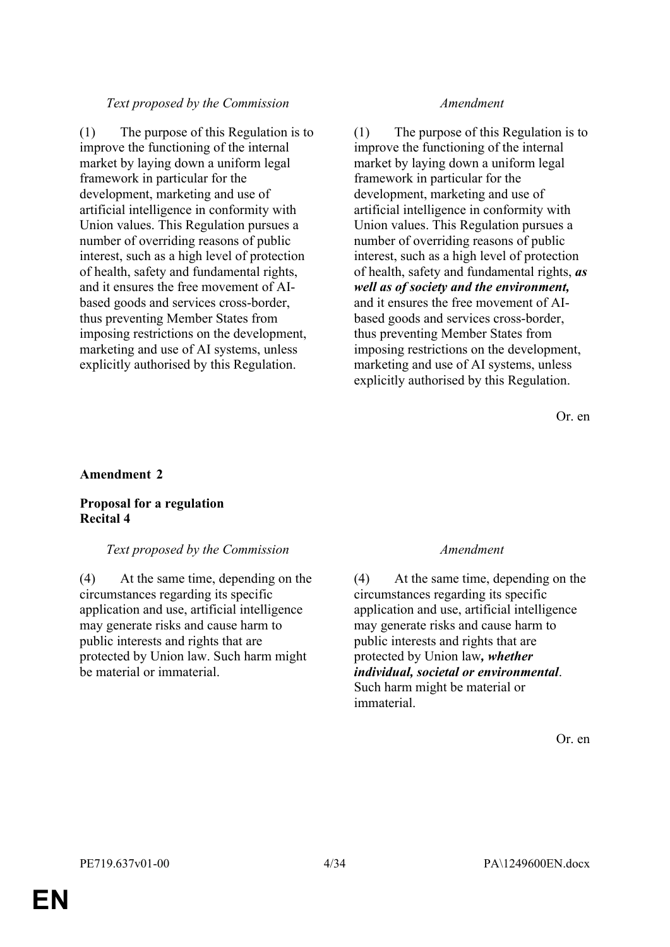### *Text proposed by the Commission Amendment*

(1) The purpose of this Regulation is to improve the functioning of the internal market by laying down a uniform legal framework in particular for the development, marketing and use of artificial intelligence in conformity with Union values. This Regulation pursues a number of overriding reasons of public interest, such as a high level of protection of health, safety and fundamental rights, and it ensures the free movement of AIbased goods and services cross-border, thus preventing Member States from imposing restrictions on the development, marketing and use of AI systems, unless explicitly authorised by this Regulation.

(1) The purpose of this Regulation is to improve the functioning of the internal market by laying down a uniform legal framework in particular for the development, marketing and use of artificial intelligence in conformity with Union values. This Regulation pursues a number of overriding reasons of public interest, such as a high level of protection of health, safety and fundamental rights, *as well as of society and the environment,* and it ensures the free movement of AIbased goods and services cross-border, thus preventing Member States from imposing restrictions on the development, marketing and use of AI systems, unless explicitly authorised by this Regulation.

Or. en

### **Amendment 2**

### **Proposal for a regulation Recital 4**

### *Text proposed by the Commission Amendment*

(4) At the same time, depending on the circumstances regarding its specific application and use, artificial intelligence may generate risks and cause harm to public interests and rights that are protected by Union law. Such harm might be material or immaterial.

(4) At the same time, depending on the circumstances regarding its specific application and use, artificial intelligence may generate risks and cause harm to public interests and rights that are protected by Union law*, whether individual, societal or environmental*. Such harm might be material or immaterial.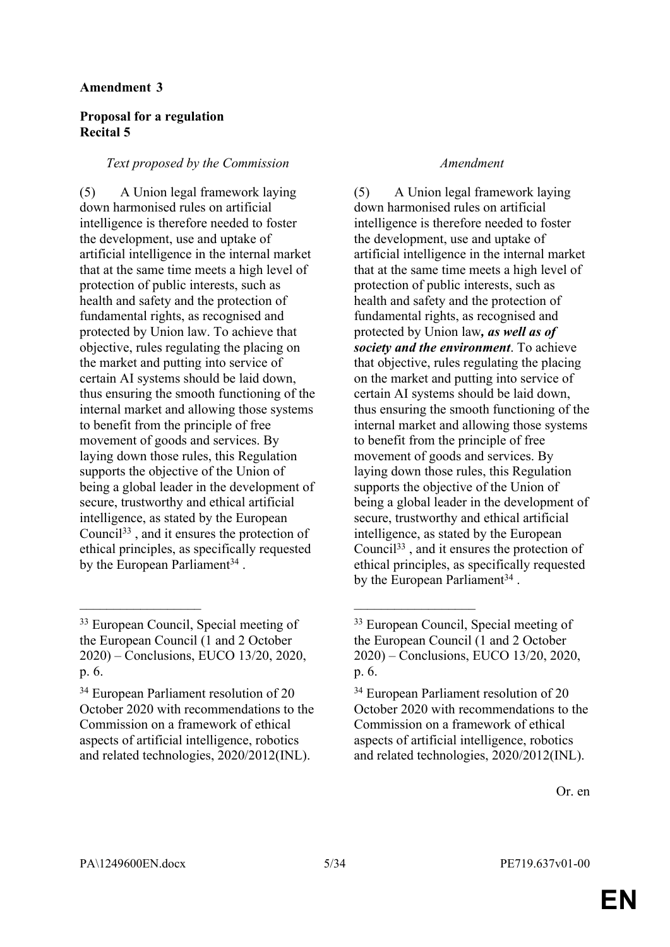### **Proposal for a regulation Recital 5**

### *Text proposed by the Commission Amendment*

(5) A Union legal framework laying down harmonised rules on artificial intelligence is therefore needed to foster the development, use and uptake of artificial intelligence in the internal market that at the same time meets a high level of protection of public interests, such as health and safety and the protection of fundamental rights, as recognised and protected by Union law. To achieve that objective, rules regulating the placing on the market and putting into service of certain AI systems should be laid down, thus ensuring the smooth functioning of the internal market and allowing those systems to benefit from the principle of free movement of goods and services. By laying down those rules, this Regulation supports the objective of the Union of being a global leader in the development of secure, trustworthy and ethical artificial intelligence, as stated by the European Council<sup>33</sup> , and it ensures the protection of ethical principles, as specifically requested by the European Parliament<sup>34</sup>.

 $\mathcal{L}_\text{max}$  , and the contract of the contract of the contract of the contract of the contract of the contract of

(5) A Union legal framework laying down harmonised rules on artificial intelligence is therefore needed to foster the development, use and uptake of artificial intelligence in the internal market that at the same time meets a high level of protection of public interests, such as health and safety and the protection of fundamental rights, as recognised and protected by Union law*, as well as of society and the environment*. To achieve that objective, rules regulating the placing on the market and putting into service of certain AI systems should be laid down, thus ensuring the smooth functioning of the internal market and allowing those systems to benefit from the principle of free movement of goods and services. By laying down those rules, this Regulation supports the objective of the Union of being a global leader in the development of secure, trustworthy and ethical artificial intelligence, as stated by the European Council<sup>33</sup> , and it ensures the protection of ethical principles, as specifically requested by the European Parliament<sup>34</sup>.

<sup>33</sup> European Council, Special meeting of the European Council (1 and 2 October 2020) – Conclusions, EUCO 13/20, 2020, p. 6.

<sup>34</sup> European Parliament resolution of 20 October 2020 with recommendations to the Commission on a framework of ethical aspects of artificial intelligence, robotics and related technologies, 2020/2012(INL).

<sup>33</sup> European Council, Special meeting of the European Council (1 and 2 October 2020) – Conclusions, EUCO 13/20, 2020, p. 6.

<sup>34</sup> European Parliament resolution of 20 October 2020 with recommendations to the Commission on a framework of ethical aspects of artificial intelligence, robotics and related technologies, 2020/2012(INL).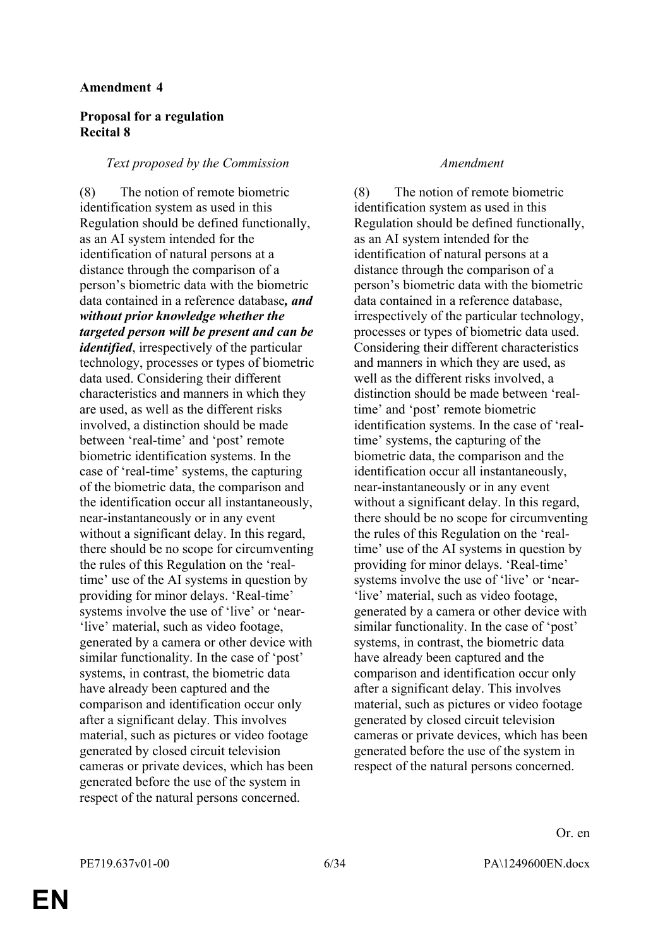### **Proposal for a regulation Recital 8**

#### *Text proposed by the Commission Amendment*

(8) The notion of remote biometric identification system as used in this Regulation should be defined functionally, as an AI system intended for the identification of natural persons at a distance through the comparison of a person's biometric data with the biometric data contained in a reference database*, and without prior knowledge whether the targeted person will be present and can be identified*, irrespectively of the particular technology, processes or types of biometric data used. Considering their different characteristics and manners in which they are used, as well as the different risks involved, a distinction should be made between 'real-time' and 'post' remote biometric identification systems. In the case of 'real-time' systems, the capturing of the biometric data, the comparison and the identification occur all instantaneously, near-instantaneously or in any event without a significant delay. In this regard, there should be no scope for circumventing the rules of this Regulation on the 'realtime' use of the AI systems in question by providing for minor delays. 'Real-time' systems involve the use of 'live' or 'near- 'live' material, such as video footage, generated by a camera or other device with similar functionality. In the case of 'post' systems, in contrast, the biometric data have already been captured and the comparison and identification occur only after a significant delay. This involves material, such as pictures or video footage generated by closed circuit television cameras or private devices, which has been generated before the use of the system in respect of the natural persons concerned.

(8) The notion of remote biometric identification system as used in this Regulation should be defined functionally, as an AI system intended for the identification of natural persons at a distance through the comparison of a person's biometric data with the biometric data contained in a reference database, irrespectively of the particular technology, processes or types of biometric data used. Considering their different characteristics and manners in which they are used, as well as the different risks involved, a distinction should be made between 'realtime' and 'post' remote biometric identification systems. In the case of 'realtime' systems, the capturing of the biometric data, the comparison and the identification occur all instantaneously, near-instantaneously or in any event without a significant delay. In this regard, there should be no scope for circumventing the rules of this Regulation on the 'realtime' use of the AI systems in question by providing for minor delays. 'Real-time' systems involve the use of 'live' or 'near- 'live' material, such as video footage, generated by a camera or other device with similar functionality. In the case of 'post' systems, in contrast, the biometric data have already been captured and the comparison and identification occur only after a significant delay. This involves material, such as pictures or video footage generated by closed circuit television cameras or private devices, which has been generated before the use of the system in respect of the natural persons concerned.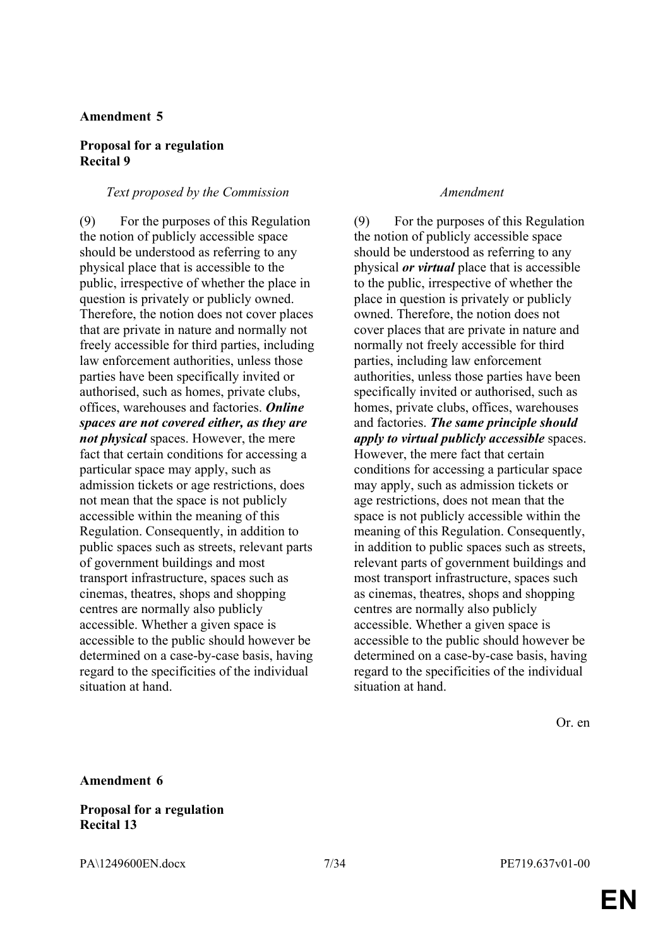#### **Proposal for a regulation Recital 9**

#### *Text proposed by the Commission Amendment*

(9) For the purposes of this Regulation the notion of publicly accessible space should be understood as referring to any physical place that is accessible to the public, irrespective of whether the place in question is privately or publicly owned. Therefore, the notion does not cover places that are private in nature and normally not freely accessible for third parties, including law enforcement authorities, unless those parties have been specifically invited or authorised, such as homes, private clubs, offices, warehouses and factories. *Online spaces are not covered either, as they are not physical* spaces. However, the mere fact that certain conditions for accessing a particular space may apply, such as admission tickets or age restrictions, does not mean that the space is not publicly accessible within the meaning of this Regulation. Consequently, in addition to public spaces such as streets, relevant parts of government buildings and most transport infrastructure, spaces such as cinemas, theatres, shops and shopping centres are normally also publicly accessible. Whether a given space is accessible to the public should however be determined on a case-by-case basis, having regard to the specificities of the individual situation at hand.

(9) For the purposes of this Regulation the notion of publicly accessible space should be understood as referring to any physical *or virtual* place that is accessible to the public, irrespective of whether the place in question is privately or publicly owned. Therefore, the notion does not cover places that are private in nature and normally not freely accessible for third parties, including law enforcement authorities, unless those parties have been specifically invited or authorised, such as homes, private clubs, offices, warehouses and factories. *The same principle should apply to virtual publicly accessible* spaces. However, the mere fact that certain conditions for accessing a particular space may apply, such as admission tickets or age restrictions, does not mean that the space is not publicly accessible within the meaning of this Regulation. Consequently, in addition to public spaces such as streets, relevant parts of government buildings and most transport infrastructure, spaces such as cinemas, theatres, shops and shopping centres are normally also publicly accessible. Whether a given space is accessible to the public should however be determined on a case-by-case basis, having regard to the specificities of the individual situation at hand.

Or. en

#### **Amendment 6**

#### **Proposal for a regulation Recital 13**

PA\1249600EN.docx 7/34 PE719.637v01-00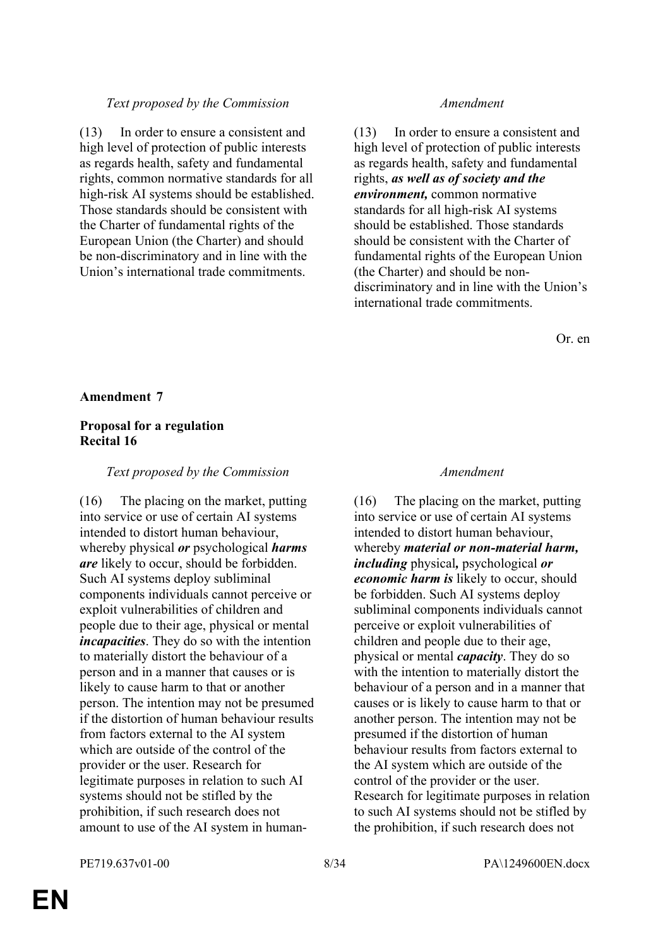### *Text proposed by the Commission Amendment*

(13) In order to ensure a consistent and high level of protection of public interests as regards health, safety and fundamental rights, common normative standards for all high-risk AI systems should be established. Those standards should be consistent with the Charter of fundamental rights of the European Union (the Charter) and should be non-discriminatory and in line with the Union's international trade commitments.

(13) In order to ensure a consistent and high level of protection of public interests as regards health, safety and fundamental rights, *as well as of society and the environment,* common normative standards for all high-risk AI systems should be established. Those standards should be consistent with the Charter of fundamental rights of the European Union (the Charter) and should be nondiscriminatory and in line with the Union's international trade commitments.

Or. en

#### **Amendment 7**

### **Proposal for a regulation Recital 16**

#### *Text proposed by the Commission Amendment*

(16) The placing on the market, putting into service or use of certain AI systems intended to distort human behaviour, whereby physical *or* psychological *harms are* likely to occur, should be forbidden. Such AI systems deploy subliminal components individuals cannot perceive or exploit vulnerabilities of children and people due to their age, physical or mental *incapacities*. They do so with the intention to materially distort the behaviour of a person and in a manner that causes or is likely to cause harm to that or another person. The intention may not be presumed if the distortion of human behaviour results from factors external to the AI system which are outside of the control of the provider or the user. Research for legitimate purposes in relation to such AI systems should not be stifled by the prohibition, if such research does not amount to use of the AI system in human-

(16) The placing on the market, putting into service or use of certain AI systems intended to distort human behaviour, whereby *material or non-material harm, including* physical*,* psychological *or economic harm is* likely to occur, should be forbidden. Such AI systems deploy subliminal components individuals cannot perceive or exploit vulnerabilities of children and people due to their age, physical or mental *capacity*. They do so with the intention to materially distort the behaviour of a person and in a manner that causes or is likely to cause harm to that or another person. The intention may not be presumed if the distortion of human behaviour results from factors external to the AI system which are outside of the control of the provider or the user. Research for legitimate purposes in relation to such AI systems should not be stifled by the prohibition, if such research does not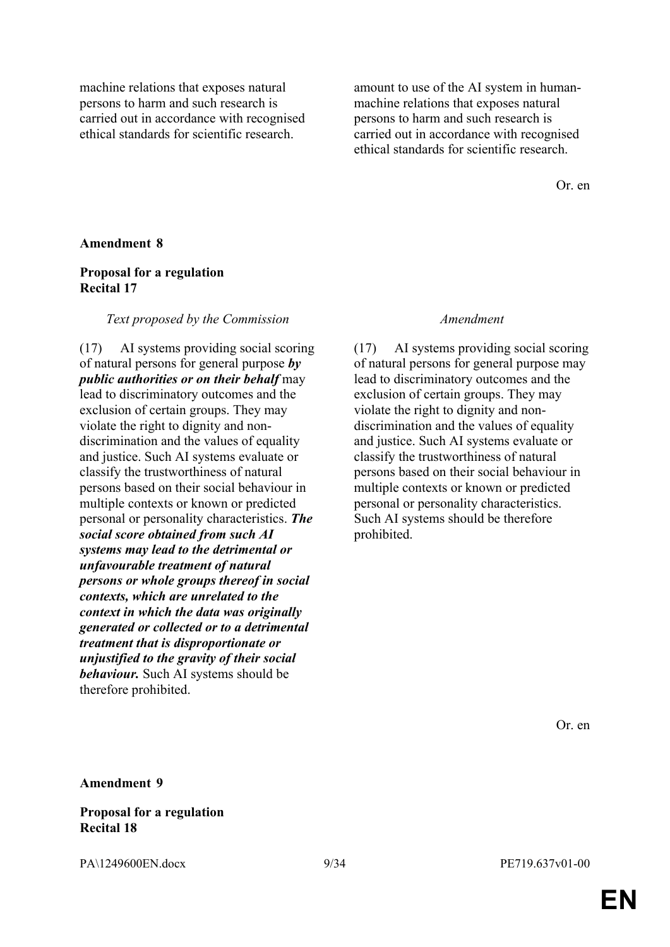machine relations that exposes natural persons to harm and such research is carried out in accordance with recognised ethical standards for scientific research.

amount to use of the AI system in humanmachine relations that exposes natural persons to harm and such research is carried out in accordance with recognised ethical standards for scientific research.

Or. en

#### **Amendment 8**

### **Proposal for a regulation Recital 17**

#### *Text proposed by the Commission Amendment*

(17) AI systems providing social scoring of natural persons for general purpose *by public authorities or on their behalf* may lead to discriminatory outcomes and the exclusion of certain groups. They may violate the right to dignity and nondiscrimination and the values of equality and justice. Such AI systems evaluate or classify the trustworthiness of natural persons based on their social behaviour in multiple contexts or known or predicted personal or personality characteristics. *The social score obtained from such AI systems may lead to the detrimental or unfavourable treatment of natural persons or whole groups thereof in social contexts, which are unrelated to the context in which the data was originally generated or collected or to a detrimental treatment that is disproportionate or unjustified to the gravity of their social behaviour.* Such AI systems should be therefore prohibited.

(17) AI systems providing social scoring of natural persons for general purpose may lead to discriminatory outcomes and the exclusion of certain groups. They may violate the right to dignity and nondiscrimination and the values of equality and justice. Such AI systems evaluate or classify the trustworthiness of natural persons based on their social behaviour in multiple contexts or known or predicted personal or personality characteristics. Such AI systems should be therefore prohibited.

Or. en

#### **Amendment 9**

#### **Proposal for a regulation Recital 18**

PA\1249600EN.docx 9/34 PE719.637v01-00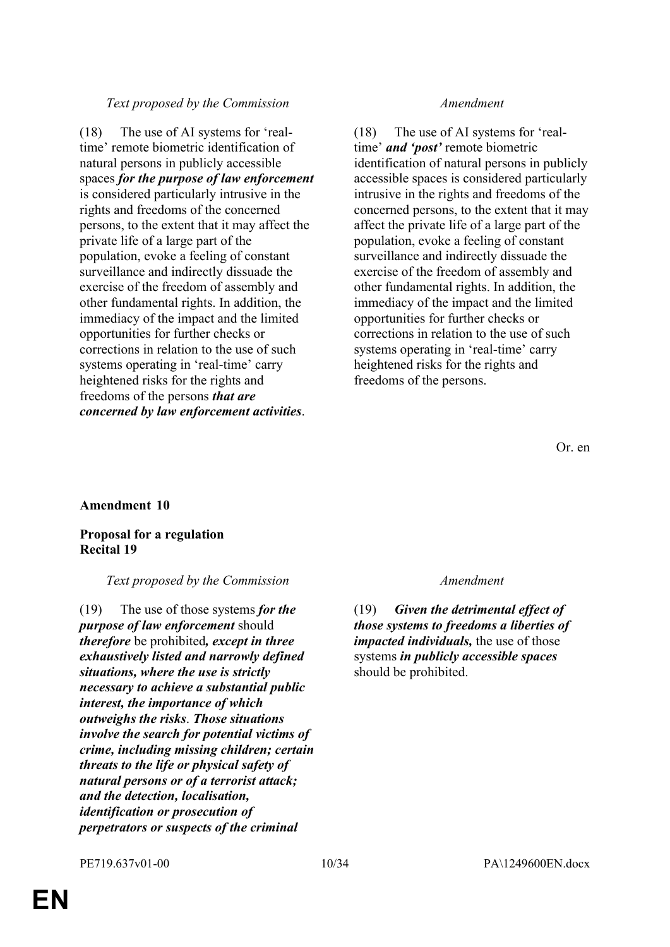### *Text proposed by the Commission Amendment*

(18) The use of AI systems for 'realtime' remote biometric identification of natural persons in publicly accessible spaces *for the purpose of law enforcement* is considered particularly intrusive in the rights and freedoms of the concerned persons, to the extent that it may affect the private life of a large part of the population, evoke a feeling of constant surveillance and indirectly dissuade the exercise of the freedom of assembly and other fundamental rights. In addition, the immediacy of the impact and the limited opportunities for further checks or corrections in relation to the use of such systems operating in 'real-time' carry heightened risks for the rights and freedoms of the persons *that are concerned by law enforcement activities*.

(18) The use of AI systems for 'realtime' *and 'post'* remote biometric identification of natural persons in publicly accessible spaces is considered particularly intrusive in the rights and freedoms of the concerned persons, to the extent that it may affect the private life of a large part of the population, evoke a feeling of constant surveillance and indirectly dissuade the exercise of the freedom of assembly and other fundamental rights. In addition, the immediacy of the impact and the limited opportunities for further checks or corrections in relation to the use of such systems operating in 'real-time' carry heightened risks for the rights and freedoms of the persons.

Or. en

### **Amendment 10**

**Proposal for a regulation Recital 19**

### *Text proposed by the Commission Amendment*

(19) The use of those systems *for the purpose of law enforcement* should *therefore* be prohibited*, except in three exhaustively listed and narrowly defined situations, where the use is strictly necessary to achieve a substantial public interest, the importance of which outweighs the risks*. *Those situations involve the search for potential victims of crime, including missing children; certain threats to the life or physical safety of natural persons or of a terrorist attack; and the detection, localisation, identification or prosecution of perpetrators or suspects of the criminal* 

(19) *Given the detrimental effect of those systems to freedoms a liberties of impacted individuals,* the use of those systems *in publicly accessible spaces* should be prohibited.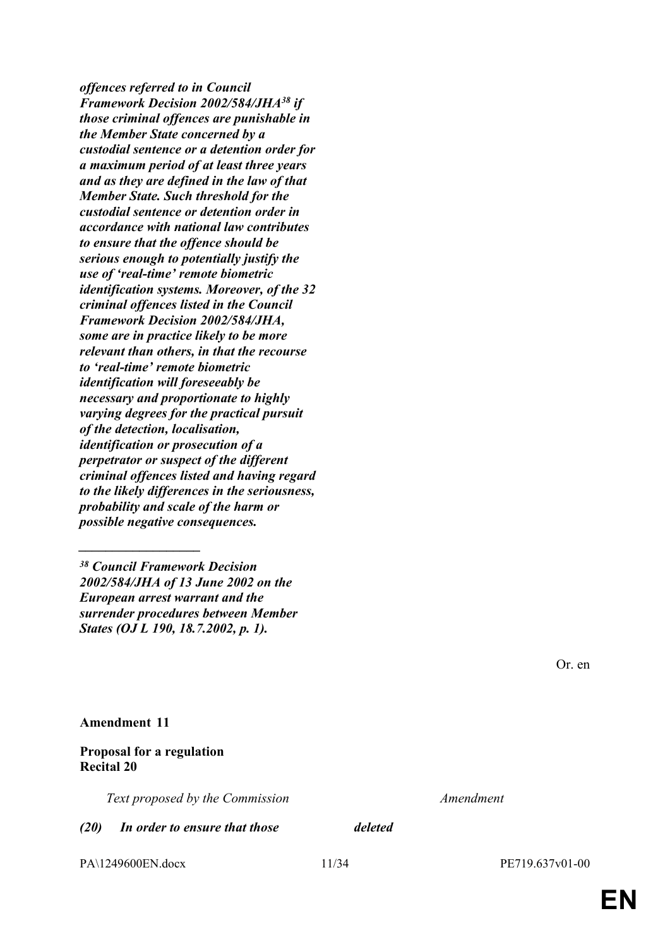*offences referred to in Council Framework Decision 2002/584/JHA<sup>38</sup> if those criminal offences are punishable in the Member State concerned by a custodial sentence or a detention order for a maximum period of at least three years and as they are defined in the law of that Member State. Such threshold for the custodial sentence or detention order in accordance with national law contributes to ensure that the offence should be serious enough to potentially justify the use of 'real-time' remote biometric identification systems. Moreover, of the 32 criminal offences listed in the Council Framework Decision 2002/584/JHA, some are in practice likely to be more relevant than others, in that the recourse to 'real-time' remote biometric identification will foreseeably be necessary and proportionate to highly varying degrees for the practical pursuit of the detection, localisation, identification or prosecution of a perpetrator or suspect of the different criminal offences listed and having regard to the likely differences in the seriousness, probability and scale of the harm or possible negative consequences.*

**Amendment 11**

### **Proposal for a regulation Recital 20**

*\_\_\_\_\_\_\_\_\_\_\_\_\_\_\_\_\_\_*

*Text proposed by the Commission Amendment*

*(20) In order to ensure that those deleted*

PA\1249600EN.docx 11/34 PE719.637v01-00

*<sup>38</sup> Council Framework Decision 2002/584/JHA of 13 June 2002 on the European arrest warrant and the surrender procedures between Member States (OJ L 190, 18.7.2002, p. 1).*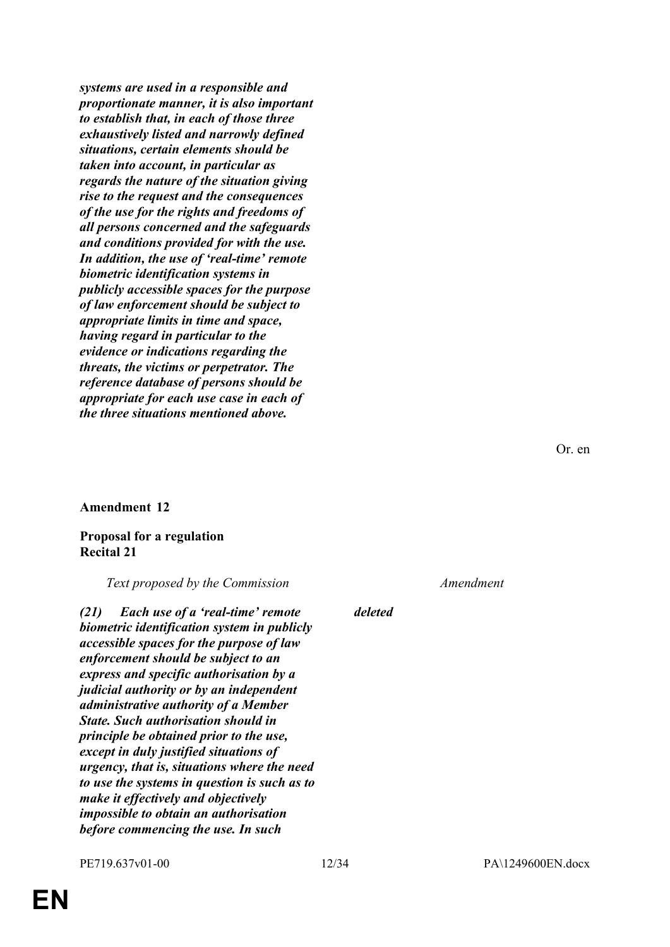*systems are used in a responsible and proportionate manner, it is also important to establish that, in each of those three exhaustively listed and narrowly defined situations, certain elements should be taken into account, in particular as regards the nature of the situation giving rise to the request and the consequences of the use for the rights and freedoms of all persons concerned and the safeguards and conditions provided for with the use. In addition, the use of 'real-time' remote biometric identification systems in publicly accessible spaces for the purpose of law enforcement should be subject to appropriate limits in time and space, having regard in particular to the evidence or indications regarding the threats, the victims or perpetrator. The reference database of persons should be appropriate for each use case in each of the three situations mentioned above.*

#### **Amendment 12**

### **Proposal for a regulation Recital 21**

*Text proposed by the Commission Amendment*

*(21) Each use of a 'real-time' remote biometric identification system in publicly accessible spaces for the purpose of law enforcement should be subject to an express and specific authorisation by a judicial authority or by an independent administrative authority of a Member State. Such authorisation should in principle be obtained prior to the use, except in duly justified situations of urgency, that is, situations where the need to use the systems in question is such as to make it effectively and objectively impossible to obtain an authorisation before commencing the use. In such* 

*deleted*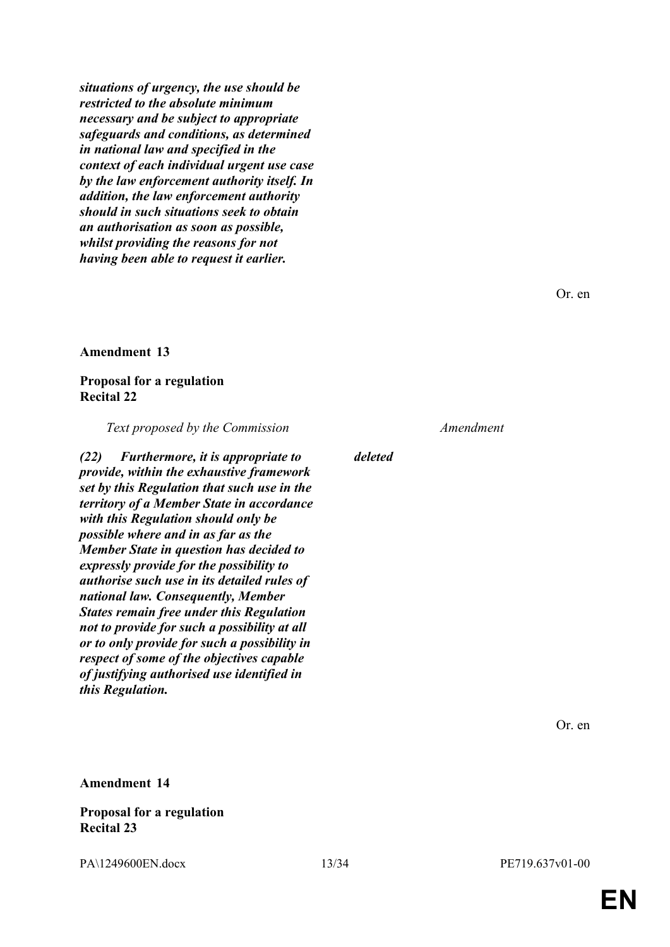*situations of urgency, the use should be restricted to the absolute minimum necessary and be subject to appropriate safeguards and conditions, as determined in national law and specified in the context of each individual urgent use case by the law enforcement authority itself. In addition, the law enforcement authority should in such situations seek to obtain an authorisation as soon as possible, whilst providing the reasons for not having been able to request it earlier.*

Or. en

#### **Amendment 13**

#### **Proposal for a regulation Recital 22**

*Text proposed by the Commission Amendment*

*(22) Furthermore, it is appropriate to provide, within the exhaustive framework set by this Regulation that such use in the territory of a Member State in accordance with this Regulation should only be possible where and in as far as the Member State in question has decided to expressly provide for the possibility to authorise such use in its detailed rules of national law. Consequently, Member States remain free under this Regulation not to provide for such a possibility at all or to only provide for such a possibility in respect of some of the objectives capable of justifying authorised use identified in this Regulation.*

*deleted*

Or. en

#### **Amendment 14**

### **Proposal for a regulation Recital 23**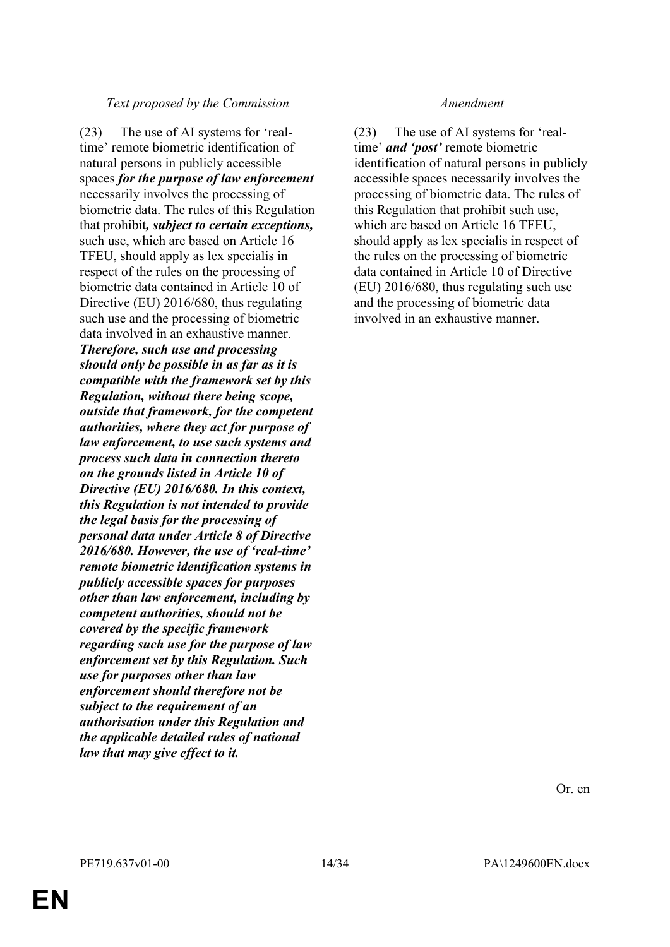### *Text proposed by the Commission Amendment*

(23) The use of AI systems for 'realtime' remote biometric identification of natural persons in publicly accessible spaces *for the purpose of law enforcement* necessarily involves the processing of biometric data. The rules of this Regulation that prohibit*, subject to certain exceptions,* such use, which are based on Article 16 TFEU, should apply as lex specialis in respect of the rules on the processing of biometric data contained in Article 10 of Directive (EU) 2016/680, thus regulating such use and the processing of biometric data involved in an exhaustive manner. *Therefore, such use and processing should only be possible in as far as it is compatible with the framework set by this Regulation, without there being scope, outside that framework, for the competent authorities, where they act for purpose of law enforcement, to use such systems and process such data in connection thereto on the grounds listed in Article 10 of Directive (EU) 2016/680. In this context, this Regulation is not intended to provide the legal basis for the processing of personal data under Article 8 of Directive 2016/680. However, the use of 'real-time' remote biometric identification systems in publicly accessible spaces for purposes other than law enforcement, including by competent authorities, should not be covered by the specific framework regarding such use for the purpose of law enforcement set by this Regulation. Such use for purposes other than law enforcement should therefore not be subject to the requirement of an authorisation under this Regulation and the applicable detailed rules of national law that may give effect to it.*

(23) The use of AI systems for 'realtime' *and 'post'* remote biometric identification of natural persons in publicly accessible spaces necessarily involves the processing of biometric data. The rules of this Regulation that prohibit such use, which are based on Article 16 TFEU, should apply as lex specialis in respect of the rules on the processing of biometric data contained in Article 10 of Directive (EU) 2016/680, thus regulating such use and the processing of biometric data involved in an exhaustive manner.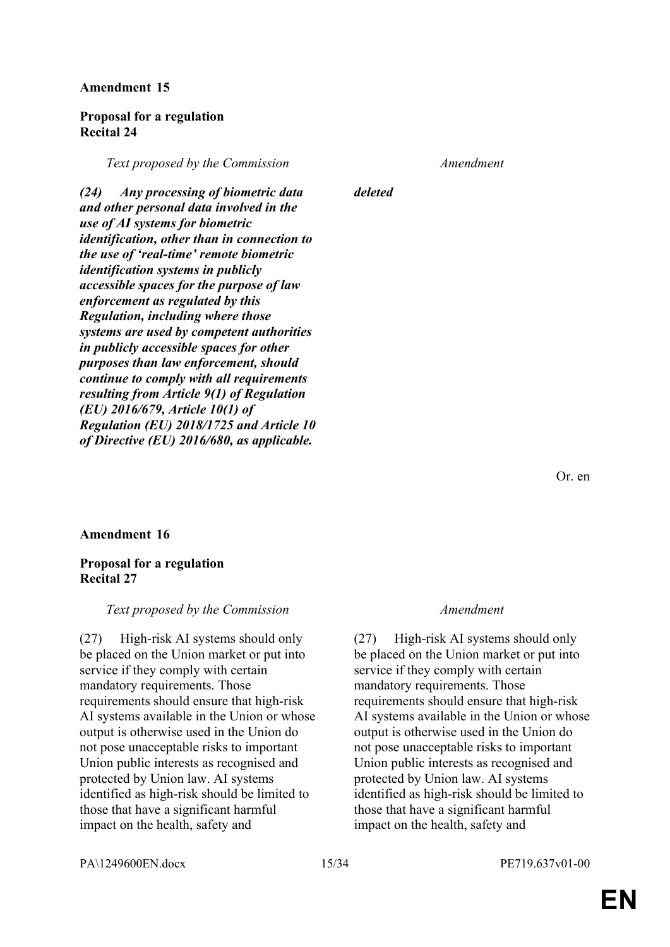### **Proposal for a regulation Recital 24**

*Text proposed by the Commission Amendment*

*(24) Any processing of biometric data and other personal data involved in the use of AI systems for biometric identification, other than in connection to the use of 'real-time' remote biometric identification systems in publicly accessible spaces for the purpose of law enforcement as regulated by this Regulation, including where those systems are used by competent authorities in publicly accessible spaces for other purposes than law enforcement, should continue to comply with all requirements resulting from Article 9(1) of Regulation (EU) 2016/679, Article 10(1) of Regulation (EU) 2018/1725 and Article 10 of Directive (EU) 2016/680, as applicable.*

### *deleted*

Or. en

### **Amendment 16**

### **Proposal for a regulation Recital 27**

### *Text proposed by the Commission Amendment*

(27) High-risk AI systems should only be placed on the Union market or put into service if they comply with certain mandatory requirements. Those requirements should ensure that high-risk AI systems available in the Union or whose output is otherwise used in the Union do not pose unacceptable risks to important Union public interests as recognised and protected by Union law. AI systems identified as high-risk should be limited to those that have a significant harmful impact on the health, safety and

(27) High-risk AI systems should only be placed on the Union market or put into service if they comply with certain mandatory requirements. Those requirements should ensure that high-risk AI systems available in the Union or whose output is otherwise used in the Union do not pose unacceptable risks to important Union public interests as recognised and protected by Union law. AI systems identified as high-risk should be limited to those that have a significant harmful impact on the health, safety and

PA\1249600EN.docx 15/34 PE719.637v01-00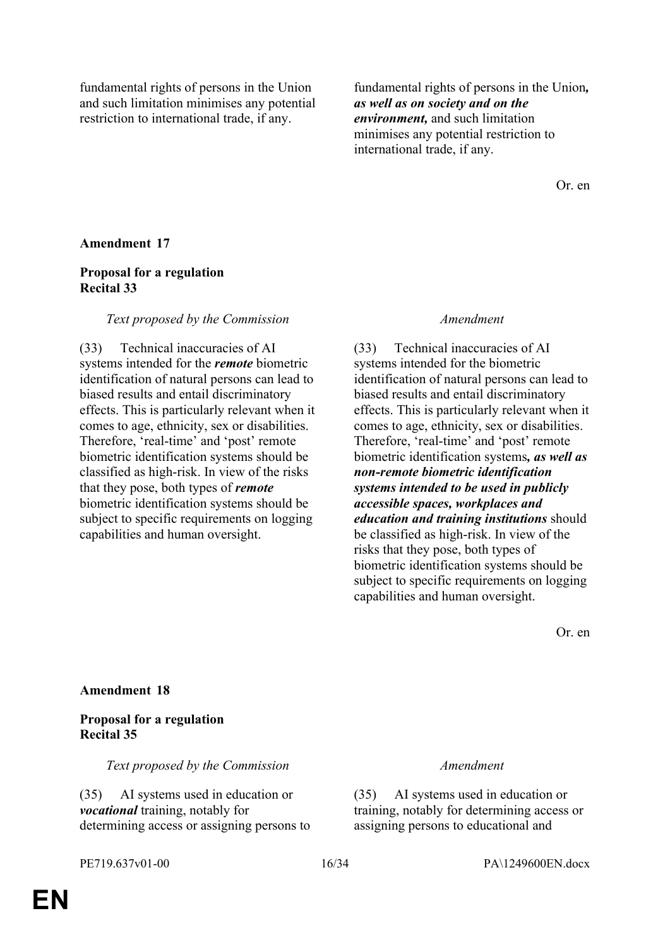fundamental rights of persons in the Union and such limitation minimises any potential restriction to international trade, if any.

fundamental rights of persons in the Union*, as well as on society and on the environment,* and such limitation minimises any potential restriction to international trade, if any.

Or. en

### **Amendment 17**

### **Proposal for a regulation Recital 33**

#### *Text proposed by the Commission Amendment*

(33) Technical inaccuracies of AI systems intended for the *remote* biometric identification of natural persons can lead to biased results and entail discriminatory effects. This is particularly relevant when it comes to age, ethnicity, sex or disabilities. Therefore, 'real-time' and 'post' remote biometric identification systems should be classified as high-risk. In view of the risks that they pose, both types of *remote* biometric identification systems should be subject to specific requirements on logging capabilities and human oversight.

(33) Technical inaccuracies of AI systems intended for the biometric identification of natural persons can lead to biased results and entail discriminatory effects. This is particularly relevant when it comes to age, ethnicity, sex or disabilities. Therefore, 'real-time' and 'post' remote biometric identification systems*, as well as non-remote biometric identification systems intended to be used in publicly accessible spaces, workplaces and education and training institutions* should be classified as high-risk. In view of the risks that they pose, both types of biometric identification systems should be subject to specific requirements on logging capabilities and human oversight.

Or. en

#### **Amendment 18**

### **Proposal for a regulation Recital 35**

*Text proposed by the Commission Amendment*

(35) AI systems used in education or *vocational* training, notably for determining access or assigning persons to

(35) AI systems used in education or training, notably for determining access or assigning persons to educational and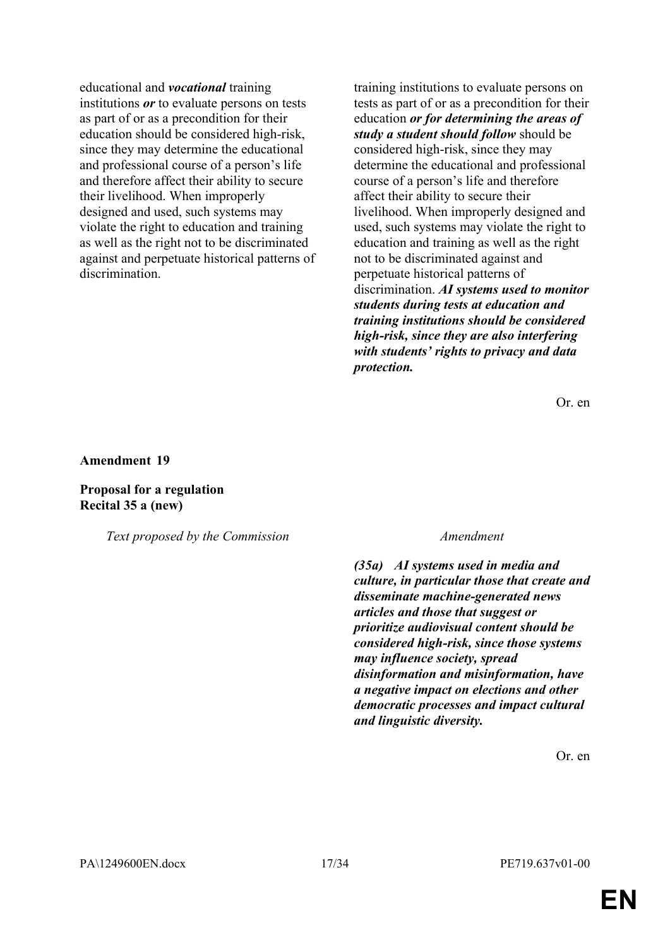educational and *vocational* training institutions *or* to evaluate persons on tests as part of or as a precondition for their education should be considered high-risk, since they may determine the educational and professional course of a person's life and therefore affect their ability to secure their livelihood. When improperly designed and used, such systems may violate the right to education and training as well as the right not to be discriminated against and perpetuate historical patterns of discrimination.

training institutions to evaluate persons on tests as part of or as a precondition for their education *or for determining the areas of study a student should follow* should be considered high-risk, since they may determine the educational and professional course of a person's life and therefore affect their ability to secure their livelihood. When improperly designed and used, such systems may violate the right to education and training as well as the right not to be discriminated against and perpetuate historical patterns of discrimination. *AI systems used to monitor students during tests at education and training institutions should be considered high-risk, since they are also interfering with students' rights to privacy and data protection.*

Or. en

**Amendment 19**

**Proposal for a regulation Recital 35 a (new)**

*Text proposed by the Commission Amendment*

*(35a) AI systems used in media and culture, in particular those that create and disseminate machine-generated news articles and those that suggest or prioritize audiovisual content should be considered high-risk, since those systems may influence society, spread disinformation and misinformation, have a negative impact on elections and other democratic processes and impact cultural and linguistic diversity.*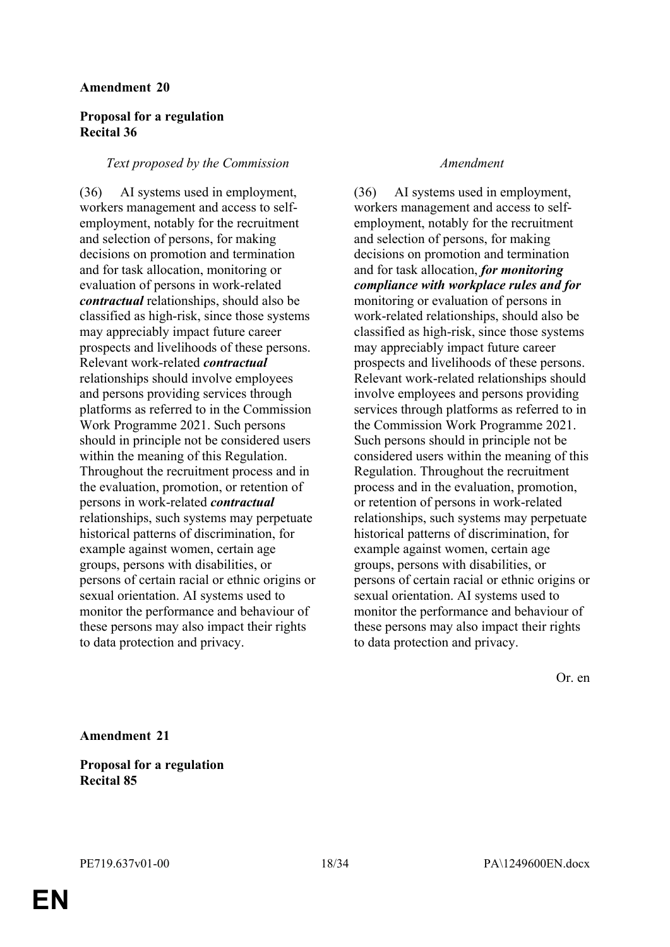### **Proposal for a regulation Recital 36**

#### *Text proposed by the Commission Amendment*

(36) AI systems used in employment, workers management and access to selfemployment, notably for the recruitment and selection of persons, for making decisions on promotion and termination and for task allocation, monitoring or evaluation of persons in work-related *contractual* relationships, should also be classified as high-risk, since those systems may appreciably impact future career prospects and livelihoods of these persons. Relevant work-related *contractual* relationships should involve employees and persons providing services through platforms as referred to in the Commission Work Programme 2021. Such persons should in principle not be considered users within the meaning of this Regulation. Throughout the recruitment process and in the evaluation, promotion, or retention of persons in work-related *contractual* relationships, such systems may perpetuate historical patterns of discrimination, for example against women, certain age groups, persons with disabilities, or persons of certain racial or ethnic origins or sexual orientation. AI systems used to monitor the performance and behaviour of these persons may also impact their rights to data protection and privacy.

(36) AI systems used in employment, workers management and access to selfemployment, notably for the recruitment and selection of persons, for making decisions on promotion and termination and for task allocation, *for monitoring compliance with workplace rules and for*  monitoring or evaluation of persons in work-related relationships, should also be classified as high-risk, since those systems may appreciably impact future career prospects and livelihoods of these persons. Relevant work-related relationships should involve employees and persons providing services through platforms as referred to in the Commission Work Programme 2021. Such persons should in principle not be considered users within the meaning of this Regulation. Throughout the recruitment process and in the evaluation, promotion, or retention of persons in work-related relationships, such systems may perpetuate historical patterns of discrimination, for example against women, certain age groups, persons with disabilities, or persons of certain racial or ethnic origins or sexual orientation. AI systems used to monitor the performance and behaviour of these persons may also impact their rights to data protection and privacy.

Or. en

**Amendment 21**

**Proposal for a regulation Recital 85**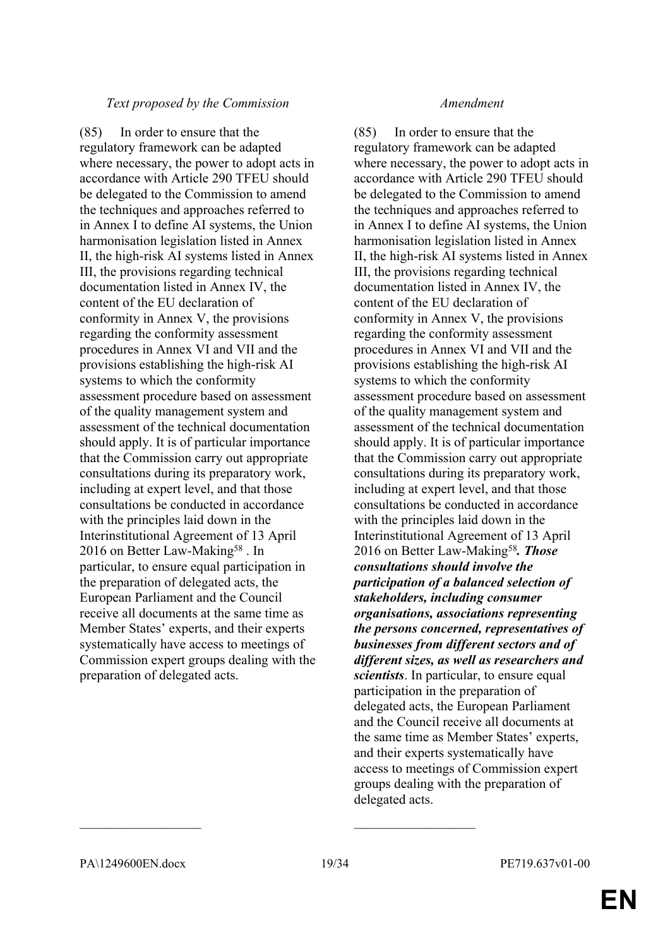### *Text proposed by the Commission Amendment*

(85) In order to ensure that the regulatory framework can be adapted where necessary, the power to adopt acts in accordance with Article 290 TFEU should be delegated to the Commission to amend the techniques and approaches referred to in Annex I to define AI systems, the Union harmonisation legislation listed in Annex II, the high-risk AI systems listed in Annex III, the provisions regarding technical documentation listed in Annex IV, the content of the EU declaration of conformity in Annex V, the provisions regarding the conformity assessment procedures in Annex VI and VII and the provisions establishing the high-risk AI systems to which the conformity assessment procedure based on assessment of the quality management system and assessment of the technical documentation should apply. It is of particular importance that the Commission carry out appropriate consultations during its preparatory work, including at expert level, and that those consultations be conducted in accordance with the principles laid down in the Interinstitutional Agreement of 13 April 2016 on Better Law-Making<sup>58</sup>. In particular, to ensure equal participation in the preparation of delegated acts, the European Parliament and the Council receive all documents at the same time as Member States' experts, and their experts systematically have access to meetings of Commission expert groups dealing with the preparation of delegated acts.

(85) In order to ensure that the regulatory framework can be adapted where necessary, the power to adopt acts in accordance with Article 290 TFEU should be delegated to the Commission to amend the techniques and approaches referred to in Annex I to define AI systems, the Union harmonisation legislation listed in Annex II, the high-risk AI systems listed in Annex III, the provisions regarding technical documentation listed in Annex IV, the content of the EU declaration of conformity in Annex V, the provisions regarding the conformity assessment procedures in Annex VI and VII and the provisions establishing the high-risk AI systems to which the conformity assessment procedure based on assessment of the quality management system and assessment of the technical documentation should apply. It is of particular importance that the Commission carry out appropriate consultations during its preparatory work, including at expert level, and that those consultations be conducted in accordance with the principles laid down in the Interinstitutional Agreement of 13 April 2016 on Better Law-Making<sup>58</sup>*. Those consultations should involve the participation of a balanced selection of stakeholders, including consumer organisations, associations representing the persons concerned, representatives of businesses from different sectors and of different sizes, as well as researchers and scientists*. In particular, to ensure equal participation in the preparation of delegated acts, the European Parliament and the Council receive all documents at the same time as Member States' experts, and their experts systematically have access to meetings of Commission expert groups dealing with the preparation of delegated acts.

 $\mathcal{L}_\text{max}$  , and the contract of the contract of the contract of the contract of the contract of the contract of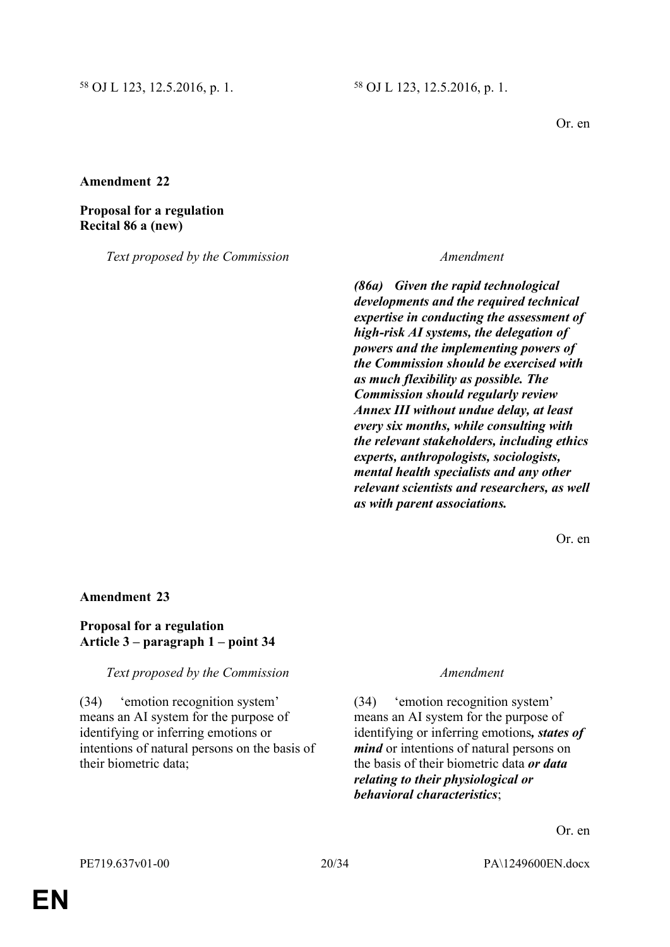Or. en

### **Amendment 22**

#### **Proposal for a regulation Recital 86 a (new)**

*Text proposed by the Commission Amendment*

*(86a) Given the rapid technological developments and the required technical expertise in conducting the assessment of high-risk AI systems, the delegation of powers and the implementing powers of the Commission should be exercised with as much flexibility as possible. The Commission should regularly review Annex III without undue delay, at least every six months, while consulting with the relevant stakeholders, including ethics experts, anthropologists, sociologists, mental health specialists and any other relevant scientists and researchers, as well as with parent associations.*

Or. en

#### **Amendment 23**

### **Proposal for a regulation Article 3 – paragraph 1 – point 34**

*Text proposed by the Commission Amendment*

(34) 'emotion recognition system' means an AI system for the purpose of identifying or inferring emotions or intentions of natural persons on the basis of their biometric data;

(34) 'emotion recognition system' means an AI system for the purpose of identifying or inferring emotions*, states of mind* or intentions of natural persons on the basis of their biometric data *or data relating to their physiological or behavioral characteristics*;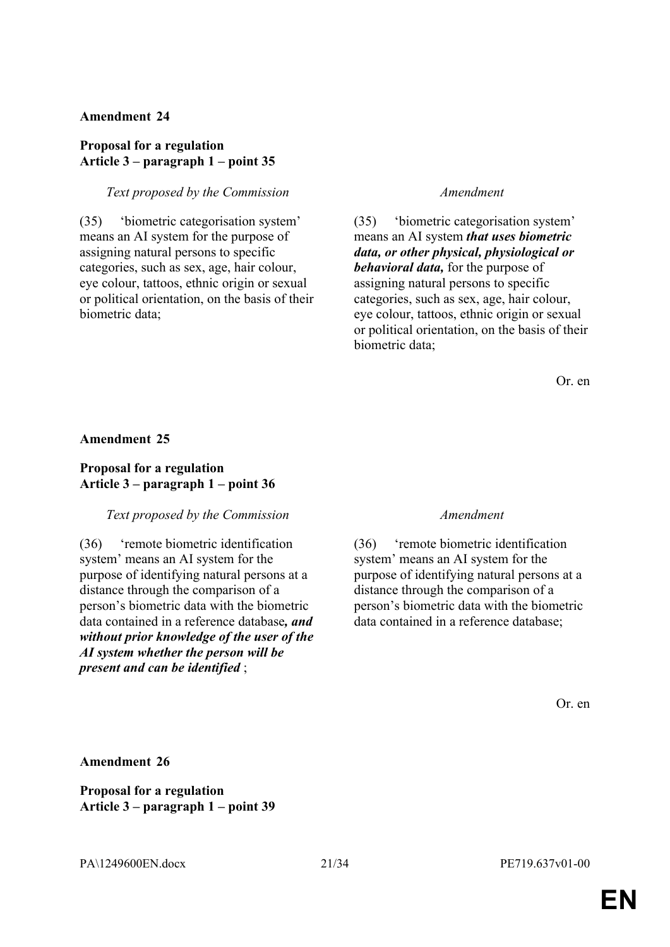### **Proposal for a regulation Article 3 – paragraph 1 – point 35**

#### *Text proposed by the Commission Amendment*

(35) 'biometric categorisation system' means an AI system for the purpose of assigning natural persons to specific categories, such as sex, age, hair colour, eye colour, tattoos, ethnic origin or sexual or political orientation, on the basis of their biometric data;

(35) 'biometric categorisation system' means an AI system *that uses biometric data, or other physical, physiological or behavioral data,* for the purpose of assigning natural persons to specific categories, such as sex, age, hair colour, eye colour, tattoos, ethnic origin or sexual or political orientation, on the basis of their biometric data;

Or. en

#### **Amendment 25**

### **Proposal for a regulation Article 3 – paragraph 1 – point 36**

### *Text proposed by the Commission Amendment*

(36) 'remote biometric identification system' means an AI system for the purpose of identifying natural persons at a distance through the comparison of a person's biometric data with the biometric data contained in a reference database*, and without prior knowledge of the user of the AI system whether the person will be present and can be identified* ;

(36) 'remote biometric identification system' means an AI system for the purpose of identifying natural persons at a distance through the comparison of a person's biometric data with the biometric data contained in a reference database;

Or. en

**Amendment 26**

**Proposal for a regulation Article 3 – paragraph 1 – point 39**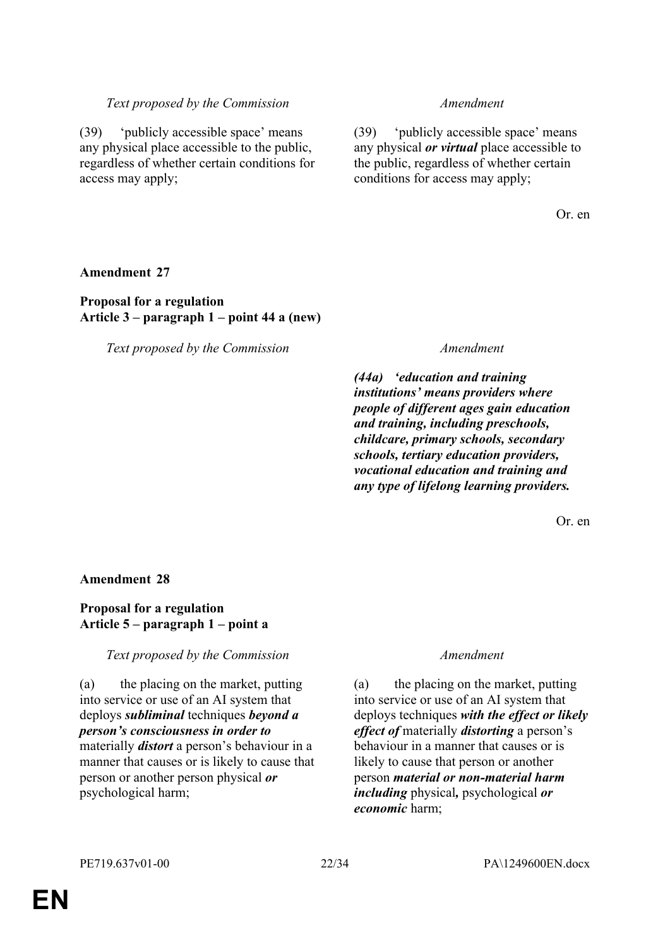#### *Text proposed by the Commission Amendment*

(39) 'publicly accessible space' means any physical place accessible to the public, regardless of whether certain conditions for access may apply;

(39) 'publicly accessible space' means any physical *or virtual* place accessible to the public, regardless of whether certain conditions for access may apply;

Or. en

#### **Amendment 27**

### **Proposal for a regulation Article 3 – paragraph 1 – point 44 a (new)**

*Text proposed by the Commission Amendment*

*(44a) 'education and training institutions' means providers where people of different ages gain education and training, including preschools, childcare, primary schools, secondary schools, tertiary education providers, vocational education and training and any type of lifelong learning providers.*

Or. en

#### **Amendment 28**

#### **Proposal for a regulation Article 5 – paragraph 1 – point a**

#### *Text proposed by the Commission Amendment*

(a) the placing on the market, putting into service or use of an AI system that deploys *subliminal* techniques *beyond a person's consciousness in order to* materially *distort* a person's behaviour in a manner that causes or is likely to cause that person or another person physical *or* psychological harm;

(a) the placing on the market, putting into service or use of an AI system that deploys techniques *with the effect or likely effect of* materially *distorting* a person's behaviour in a manner that causes or is likely to cause that person or another person *material or non-material harm including* physical*,* psychological *or economic* harm;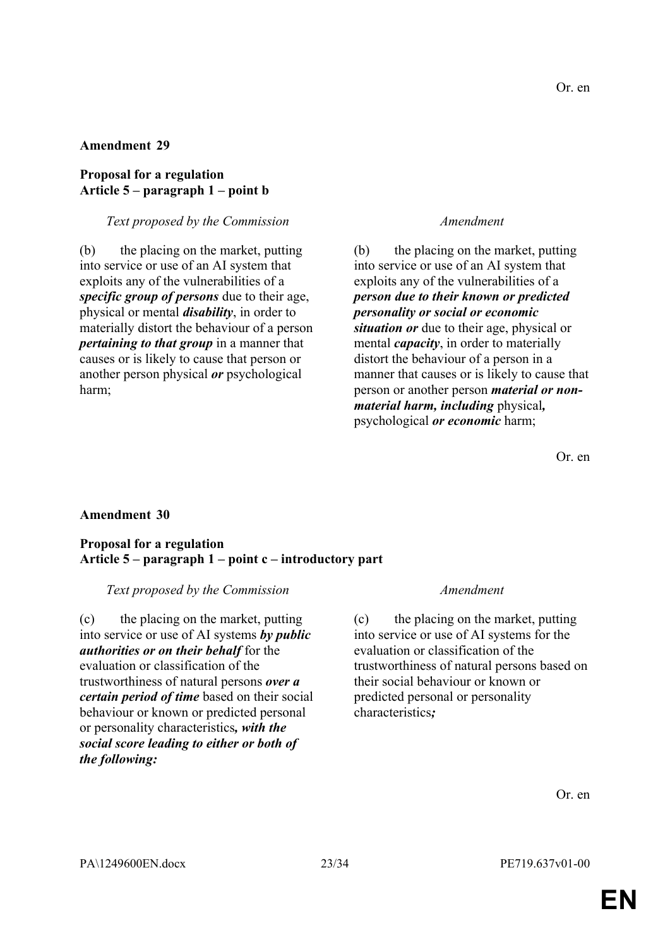#### **Proposal for a regulation Article 5 – paragraph 1 – point b**

#### *Text proposed by the Commission Amendment*

(b) the placing on the market, putting into service or use of an AI system that exploits any of the vulnerabilities of a *specific group of persons* due to their age, physical or mental *disability*, in order to materially distort the behaviour of a person *pertaining to that group* in a manner that causes or is likely to cause that person or another person physical *or* psychological harm;

(b) the placing on the market, putting into service or use of an AI system that exploits any of the vulnerabilities of a *person due to their known or predicted personality or social or economic situation or* due to their age, physical or mental *capacity*, in order to materially distort the behaviour of a person in a manner that causes or is likely to cause that person or another person *material or nonmaterial harm, including* physical*,* psychological *or economic* harm;

Or. en

### **Amendment 30**

#### **Proposal for a regulation Article 5 – paragraph 1 – point c – introductory part**

#### *Text proposed by the Commission Amendment*

(c) the placing on the market, putting into service or use of AI systems *by public authorities or on their behalf* for the evaluation or classification of the trustworthiness of natural persons *over a certain period of time* based on their social behaviour or known or predicted personal or personality characteristics*, with the social score leading to either or both of the following:*

(c) the placing on the market, putting into service or use of AI systems for the evaluation or classification of the trustworthiness of natural persons based on their social behaviour or known or predicted personal or personality characteristics*;*

Or. en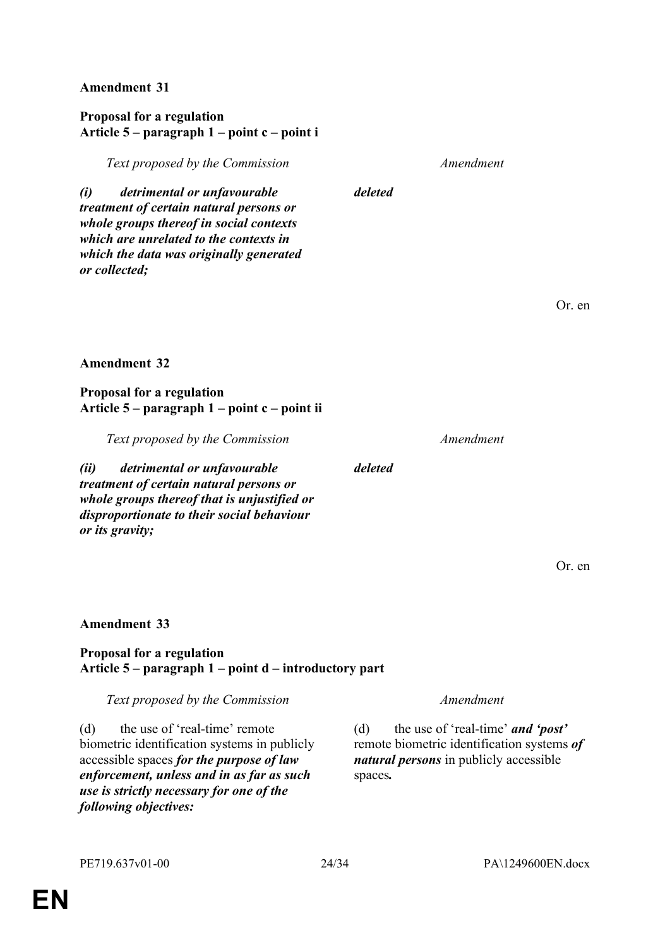### **Proposal for a regulation Article 5 – paragraph 1 – point c – point i**

*Text proposed by the Commission Amendment*

*deleted*

*deleted*

*(i) detrimental or unfavourable treatment of certain natural persons or whole groups thereof in social contexts which are unrelated to the contexts in which the data was originally generated or collected;*

Or. en

### **Amendment 32**

### **Proposal for a regulation Article 5 – paragraph 1 – point c – point ii**

*Text proposed by the Commission Amendment*

*(ii) detrimental or unfavourable treatment of certain natural persons or whole groups thereof that is unjustified or disproportionate to their social behaviour or its gravity;*

Or. en

### **Amendment 33**

### **Proposal for a regulation Article 5 – paragraph 1 – point d – introductory part**

*Text proposed by the Commission Amendment*

(d) the use of 'real-time' remote biometric identification systems in publicly accessible spaces *for the purpose of law enforcement, unless and in as far as such use is strictly necessary for one of the following objectives:*

(d) the use of 'real-time' *and 'post'* remote biometric identification systems *of natural persons* in publicly accessible spaces*.*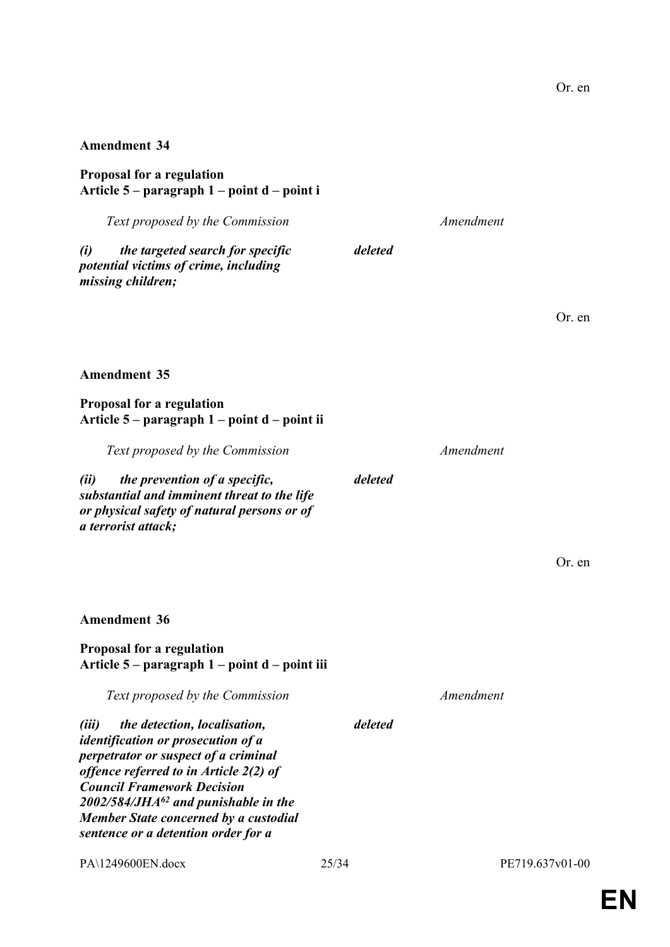**Proposal for a regulation Article 5 – paragraph 1 – point d – point i**

*Text proposed by the Commission Amendment (i) the targeted search for specific potential victims of crime, including missing children; deleted*

Or. en

#### **Amendment 35**

**Proposal for a regulation Article 5 – paragraph 1 – point d – point ii**

*Text proposed by the Commission Amendment*

*(ii) the prevention of a specific, substantial and imminent threat to the life or physical safety of natural persons or of a terrorist attack;*

*deleted*

Or. en

**Amendment 36**

#### **Proposal for a regulation Article 5 – paragraph 1 – point d – point iii**

*Text proposed by the Commission Amendment*

*deleted*

*(iii) the detection, localisation, identification or prosecution of a perpetrator or suspect of a criminal offence referred to in Article 2(2) of Council Framework Decision 2002/584/JHA<sup>62</sup> and punishable in the Member State concerned by a custodial sentence or a detention order for a* 

PA\1249600EN.docx 25/34 PE719.637v01-00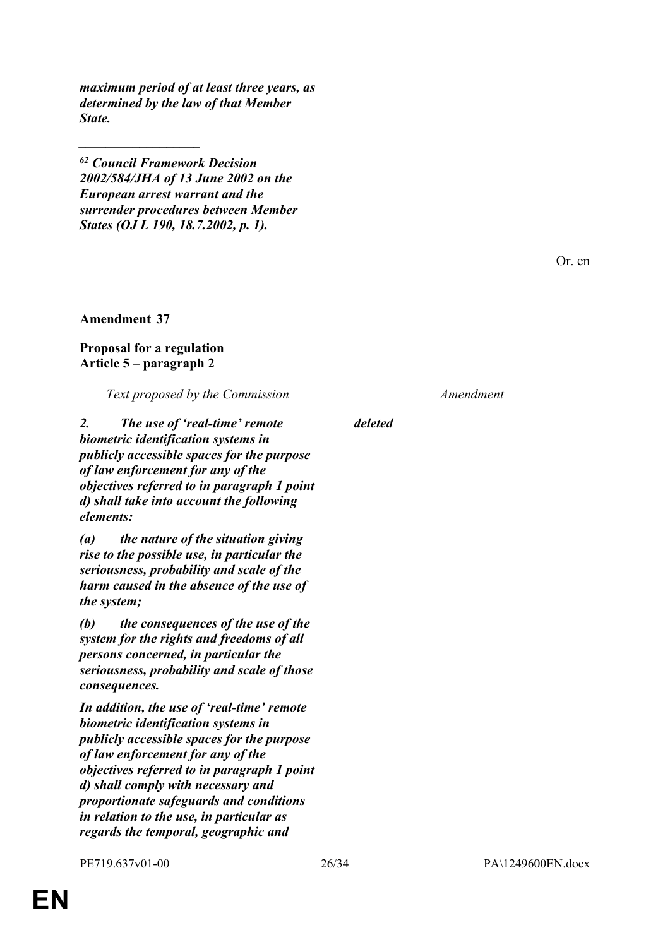*maximum period of at least three years, as determined by the law of that Member State.*

*<sup>62</sup> Council Framework Decision 2002/584/JHA of 13 June 2002 on the European arrest warrant and the surrender procedures between Member States (OJ L 190, 18.7.2002, p. 1).*

Or. en

**Amendment 37**

*\_\_\_\_\_\_\_\_\_\_\_\_\_\_\_\_\_\_*

#### **Proposal for a regulation Article 5 – paragraph 2**

*Text proposed by the Commission Amendment*

*2. The use of 'real-time' remote biometric identification systems in publicly accessible spaces for the purpose of law enforcement for any of the objectives referred to in paragraph 1 point d) shall take into account the following elements:*

*(a) the nature of the situation giving rise to the possible use, in particular the seriousness, probability and scale of the harm caused in the absence of the use of the system;*

*(b) the consequences of the use of the system for the rights and freedoms of all persons concerned, in particular the seriousness, probability and scale of those consequences.*

*In addition, the use of 'real-time' remote biometric identification systems in publicly accessible spaces for the purpose of law enforcement for any of the objectives referred to in paragraph 1 point d) shall comply with necessary and proportionate safeguards and conditions in relation to the use, in particular as regards the temporal, geographic and* 

*deleted*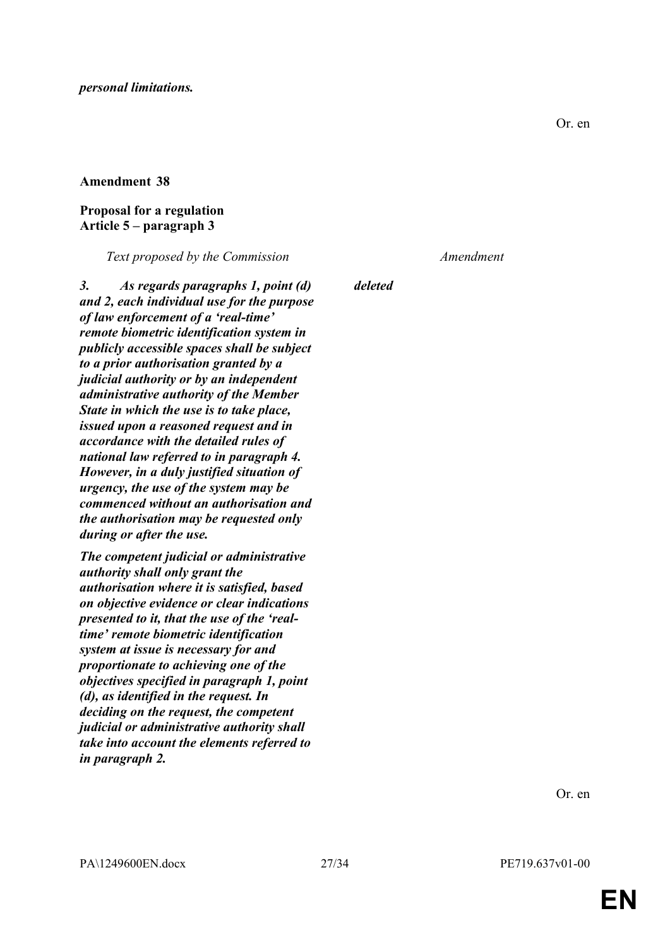### **Proposal for a regulation Article 5 – paragraph 3**

*Text proposed by the Commission Amendment*

*3. As regards paragraphs 1, point (d) and 2, each individual use for the purpose of law enforcement of a 'real-time' remote biometric identification system in publicly accessible spaces shall be subject to a prior authorisation granted by a judicial authority or by an independent administrative authority of the Member State in which the use is to take place, issued upon a reasoned request and in accordance with the detailed rules of national law referred to in paragraph 4. However, in a duly justified situation of urgency, the use of the system may be commenced without an authorisation and the authorisation may be requested only during or after the use.*

*The competent judicial or administrative authority shall only grant the authorisation where it is satisfied, based on objective evidence or clear indications presented to it, that the use of the 'realtime' remote biometric identification system at issue is necessary for and proportionate to achieving one of the objectives specified in paragraph 1, point (d), as identified in the request. In deciding on the request, the competent judicial or administrative authority shall take into account the elements referred to in paragraph 2.*

*deleted*

Or. en

**EN**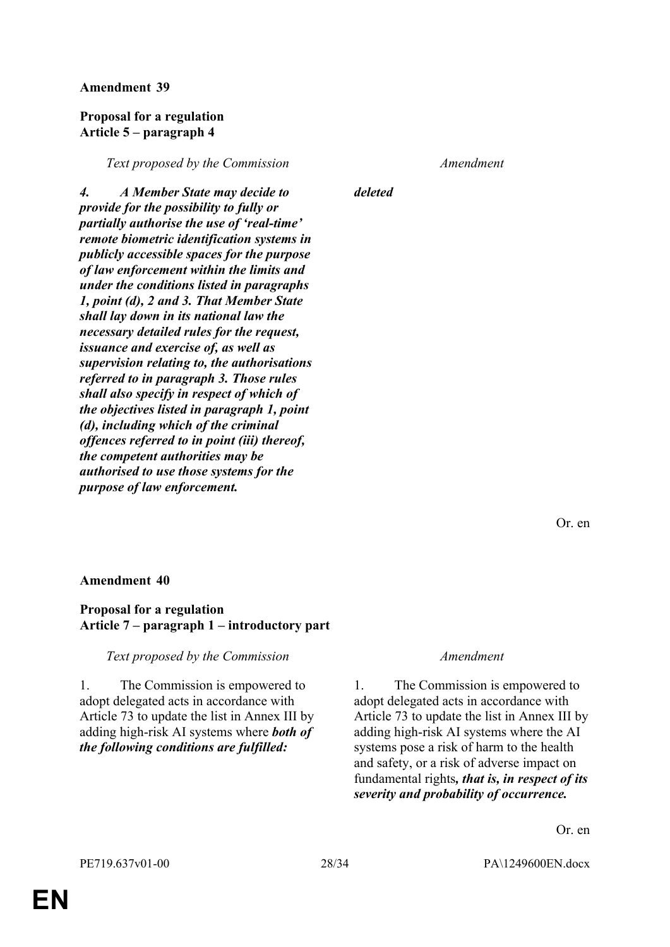#### **Proposal for a regulation Article 5 – paragraph 4**

*Text proposed by the Commission Amendment*

*4. A Member State may decide to provide for the possibility to fully or partially authorise the use of 'real-time' remote biometric identification systems in publicly accessible spaces for the purpose of law enforcement within the limits and under the conditions listed in paragraphs 1, point (d), 2 and 3. That Member State shall lay down in its national law the necessary detailed rules for the request, issuance and exercise of, as well as supervision relating to, the authorisations referred to in paragraph 3. Those rules shall also specify in respect of which of the objectives listed in paragraph 1, point (d), including which of the criminal offences referred to in point (iii) thereof, the competent authorities may be authorised to use those systems for the purpose of law enforcement.*

*deleted*

Or. en

#### **Amendment 40**

#### **Proposal for a regulation Article 7 – paragraph 1 – introductory part**

*Text proposed by the Commission Amendment*

1. The Commission is empowered to adopt delegated acts in accordance with Article 73 to update the list in Annex III by adding high-risk AI systems where *both of the following conditions are fulfilled:*

1. The Commission is empowered to adopt delegated acts in accordance with Article 73 to update the list in Annex III by adding high-risk AI systems where the AI systems pose a risk of harm to the health and safety, or a risk of adverse impact on fundamental rights*, that is, in respect of its severity and probability of occurrence.*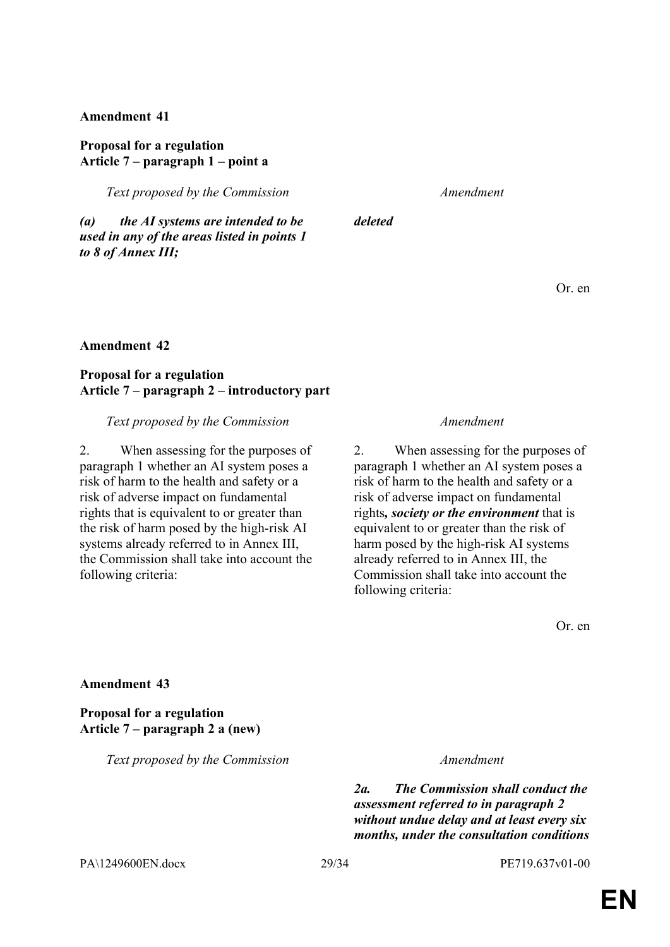### **Proposal for a regulation Article 7 – paragraph 1 – point a**

*Text proposed by the Commission Amendment*

*deleted*

*(a) the AI systems are intended to be used in any of the areas listed in points 1 to 8 of Annex III;*

Or. en

#### **Amendment 42**

### **Proposal for a regulation Article 7 – paragraph 2 – introductory part**

*Text proposed by the Commission Amendment*

2. When assessing for the purposes of paragraph 1 whether an AI system poses a risk of harm to the health and safety or a risk of adverse impact on fundamental rights that is equivalent to or greater than the risk of harm posed by the high-risk AI systems already referred to in Annex III, the Commission shall take into account the following criteria:

2. When assessing for the purposes of paragraph 1 whether an AI system poses a risk of harm to the health and safety or a risk of adverse impact on fundamental rights*, society or the environment* that is equivalent to or greater than the risk of harm posed by the high-risk AI systems already referred to in Annex III, the Commission shall take into account the following criteria:

Or. en

#### **Amendment 43**

**Proposal for a regulation Article 7 – paragraph 2 a (new)**

*Text proposed by the Commission Amendment*

*2a. The Commission shall conduct the assessment referred to in paragraph 2 without undue delay and at least every six months, under the consultation conditions* 

PA\1249600EN.docx 29/34 PE719.637v01-00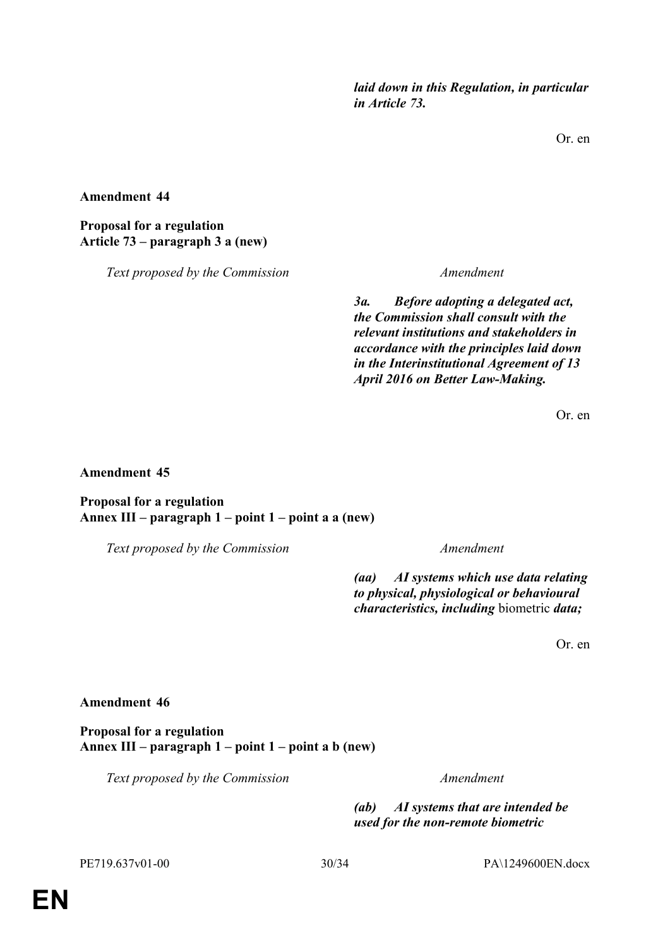*laid down in this Regulation, in particular in Article 73.*

Or. en

**Amendment 44**

**Proposal for a regulation Article 73 – paragraph 3 a (new)**

*Text proposed by the Commission Amendment*

*3a. Before adopting a delegated act, the Commission shall consult with the relevant institutions and stakeholders in accordance with the principles laid down in the Interinstitutional Agreement of 13 April 2016 on Better Law-Making.*

Or. en

**Amendment 45**

**Proposal for a regulation Annex III – paragraph 1 – point 1 – point a a (new)**

*Text proposed by the Commission Amendment*

*(aa) AI systems which use data relating to physical, physiological or behavioural characteristics, including* biometric *data;*

Or. en

### **Amendment 46**

**Proposal for a regulation Annex III – paragraph 1 – point 1 – point a b (new)**

*Text proposed by the Commission Amendment*

*(ab) AI systems that are intended be used for the non-remote biometric*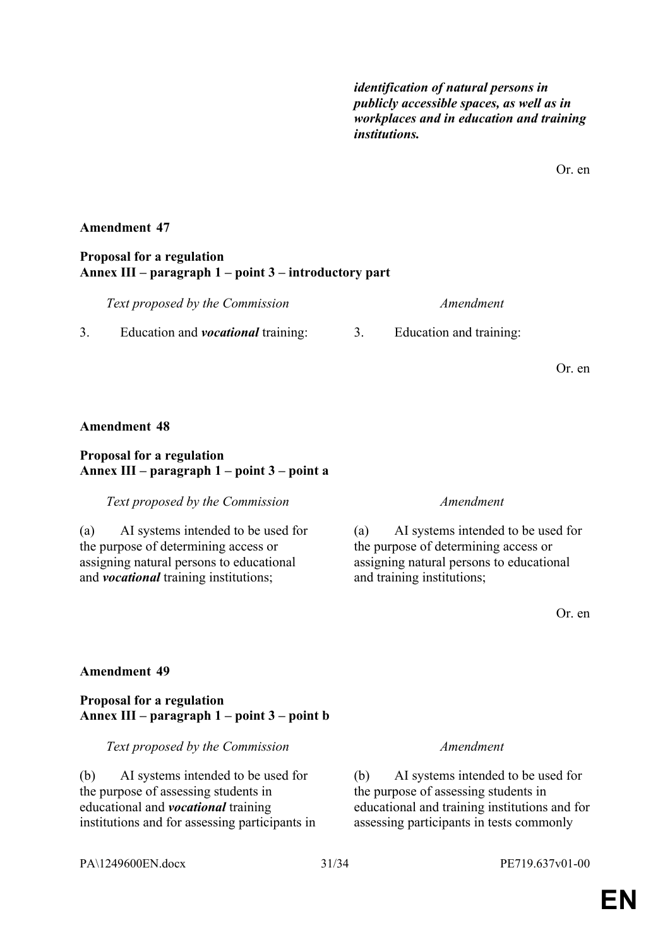*identification of natural persons in publicly accessible spaces, as well as in workplaces and in education and training institutions.*

Or. en

### **Amendment 47**

#### **Proposal for a regulation Annex III – paragraph 1 – point 3 – introductory part**

| Text proposed by the Commission           | Amendment               |  |
|-------------------------------------------|-------------------------|--|
| Education and <i>vocational</i> training: | Education and training: |  |

Or. en

### **Amendment 48**

### **Proposal for a regulation Annex III – paragraph 1 – point 3 – point a**

#### *Text proposed by the Commission Amendment*

(a) AI systems intended to be used for the purpose of determining access or assigning natural persons to educational and *vocational* training institutions;

(a) AI systems intended to be used for the purpose of determining access or assigning natural persons to educational and training institutions;

Or. en

### **Amendment 49**

### **Proposal for a regulation Annex III – paragraph 1 – point 3 – point b**

*Text proposed by the Commission Amendment*

(b) AI systems intended to be used for the purpose of assessing students in educational and *vocational* training institutions and for assessing participants in

(b) AI systems intended to be used for the purpose of assessing students in educational and training institutions and for assessing participants in tests commonly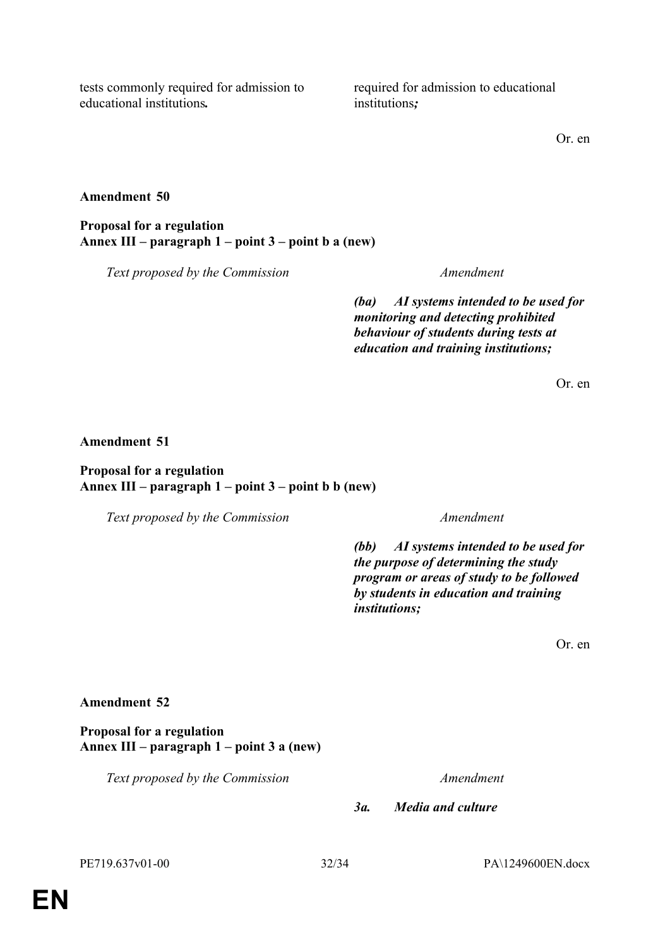tests commonly required for admission to educational institutions*.*

required for admission to educational institutions*;*

Or. en

#### **Amendment 50**

**Proposal for a regulation Annex III – paragraph 1 – point 3 – point b a (new)**

*Text proposed by the Commission Amendment*

*(ba) AI systems intended to be used for monitoring and detecting prohibited behaviour of students during tests at education and training institutions;*

Or. en

#### **Amendment 51**

### **Proposal for a regulation Annex III – paragraph 1 – point 3 – point b b (new)**

*Text proposed by the Commission Amendment*

*(bb) AI systems intended to be used for the purpose of determining the study program or areas of study to be followed by students in education and training institutions;*

Or. en

#### **Amendment 52**

**Proposal for a regulation Annex III – paragraph 1 – point 3 a (new)**

*Text proposed by the Commission Amendment*

*3a. Media and culture*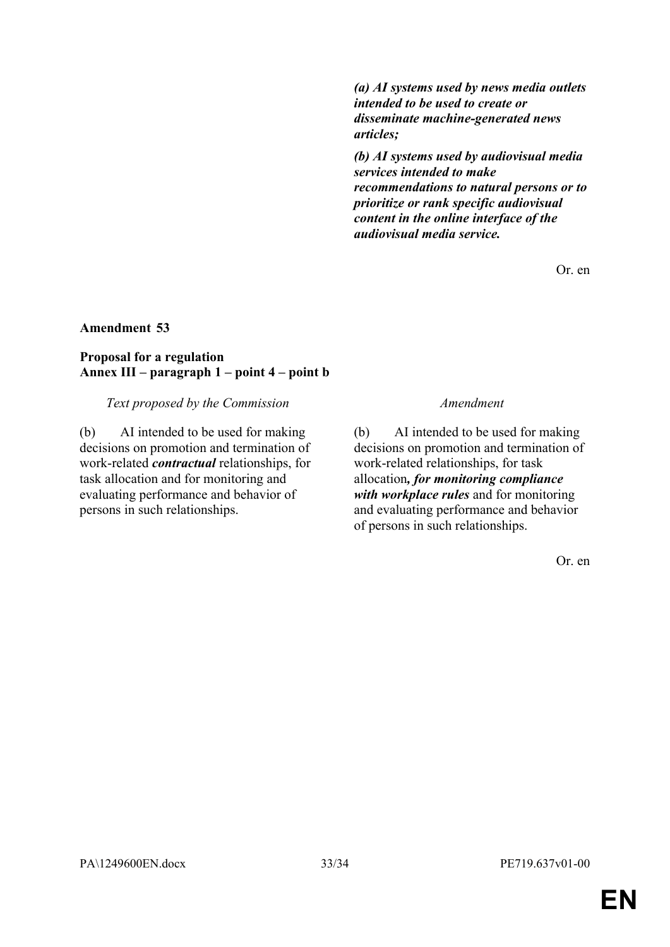*(a) AI systems used by news media outlets intended to be used to create or disseminate machine-generated news articles;*

*(b) AI systems used by audiovisual media services intended to make recommendations to natural persons or to prioritize or rank specific audiovisual content in the online interface of the audiovisual media service.*

Or. en

### **Amendment 53**

### **Proposal for a regulation Annex III – paragraph 1 – point 4 – point b**

*Text proposed by the Commission Amendment*

(b) AI intended to be used for making decisions on promotion and termination of work-related *contractual* relationships, for task allocation and for monitoring and evaluating performance and behavior of persons in such relationships.

(b) AI intended to be used for making decisions on promotion and termination of work-related relationships, for task allocation*, for monitoring compliance with workplace rules* and for monitoring and evaluating performance and behavior of persons in such relationships.